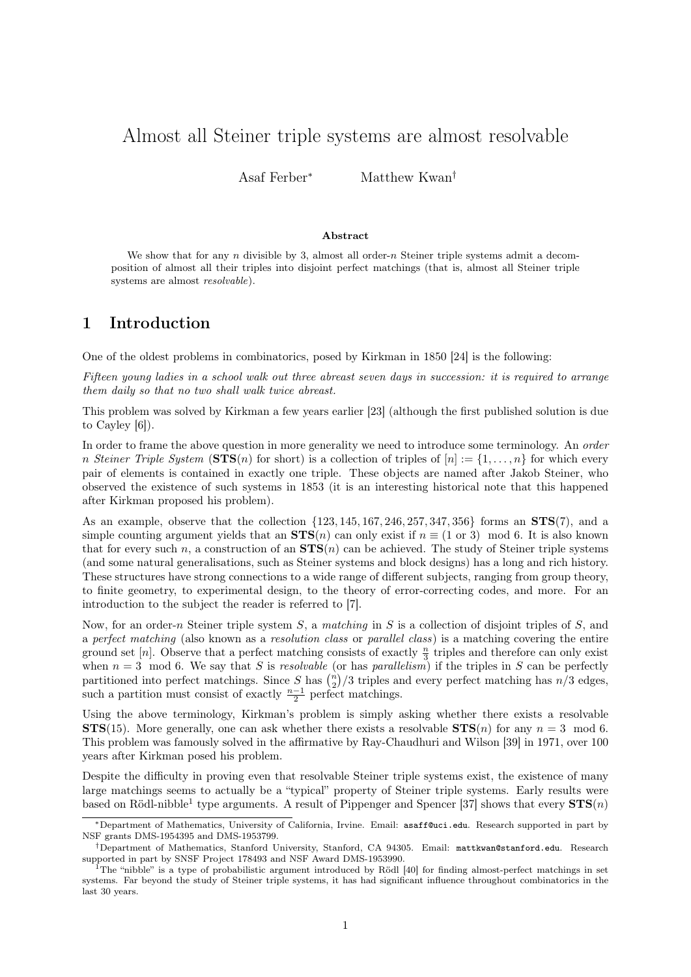# Almost all Steiner triple systems are almost resolvable

Asaf Ferber<sup>∗</sup> Matthew Kwan†

#### Abstract

We show that for any n divisible by 3, almost all order-n Steiner triple systems admit a decomposition of almost all their triples into disjoint perfect matchings (that is, almost all Steiner triple systems are almost resolvable).

## 1 Introduction

One of the oldest problems in combinatorics, posed by Kirkman in 1850 [\[24\]](#page-20-0) is the following:

Fifteen young ladies in a school walk out three abreast seven days in succession: it is required to arrange them daily so that no two shall walk twice abreast.

This problem was solved by Kirkman a few years earlier [\[23\]](#page-20-1) (although the first published solution is due to Cayley [\[6\]](#page-19-0)).

In order to frame the above question in more generality we need to introduce some terminology. An *order* n Steiner Triple System (STS(n) for short) is a collection of triples of  $[n] := \{1, \ldots, n\}$  for which every pair of elements is contained in exactly one triple. These objects are named after Jakob Steiner, who observed the existence of such systems in 1853 (it is an interesting historical note that this happened after Kirkman proposed his problem).

As an example, observe that the collection  $\{123, 145, 167, 246, 257, 347, 356\}$  forms an  $STS(7)$ , and a simple counting argument yields that an  $STS(n)$  can only exist if  $n \equiv (1 \text{ or } 3) \mod 6$ . It is also known that for every such n, a construction of an  $STS(n)$  can be achieved. The study of Steiner triple systems (and some natural generalisations, such as Steiner systems and block designs) has a long and rich history. These structures have strong connections to a wide range of different subjects, ranging from group theory, to finite geometry, to experimental design, to the theory of error-correcting codes, and more. For an introduction to the subject the reader is referred to [\[7\]](#page-19-1).

Now, for an order-n Steiner triple system S, a matching in S is a collection of disjoint triples of S, and a perfect matching (also known as a resolution class or parallel class) is a matching covering the entire ground set [n]. Observe that a perfect matching consists of exactly  $\frac{n}{3}$  triples and therefore can only exist when  $n = 3 \mod 6$ . We say that S is resolvable (or has parallelism) if the triples in S can be perfectly partitioned into perfect matchings. Since  $S$  has  $\binom{n}{2}/3$  triples and every perfect matching has  $n/3$  edges, such a partition must consist of exactly  $\frac{n-1}{2}$  perfect matchings.

Using the above terminology, Kirkman's problem is simply asking whether there exists a resolvable **STS**(15). More generally, one can ask whether there exists a resolvable  $STS(n)$  for any  $n = 3 \mod 6$ . This problem was famously solved in the affirmative by Ray-Chaudhuri and Wilson [\[39\]](#page-21-0) in 1971, over 100 years after Kirkman posed his problem.

Despite the difficulty in proving even that resolvable Steiner triple systems exist, the existence of many large matchings seems to actually be a "typical" property of Steiner triple systems. Early results were based on Rödl-nibble<sup>[1](#page-0-0)</sup> type arguments. A result of Pippenger and Spencer [\[37\]](#page-20-2) shows that every  $\text{STS}(n)$ 

<sup>∗</sup>Department of Mathematics, University of California, Irvine. Email: [asaff@uci.edu](mailto:asaff@uci.edu). Research supported in part by NSF grants DMS-1954395 and DMS-1953799.

<sup>†</sup>Department of Mathematics, Stanford University, Stanford, CA 94305. Email: <mattkwan@stanford.edu>. Research supported in part by SNSF Project 178493 and NSF Award DMS-1953990.

<span id="page-0-0"></span> $1$ The "nibble" is a type of probabilistic argument introduced by Rödl [\[40\]](#page-21-1) for finding almost-perfect matchings in set systems. Far beyond the study of Steiner triple systems, it has had significant influence throughout combinatorics in the last 30 years.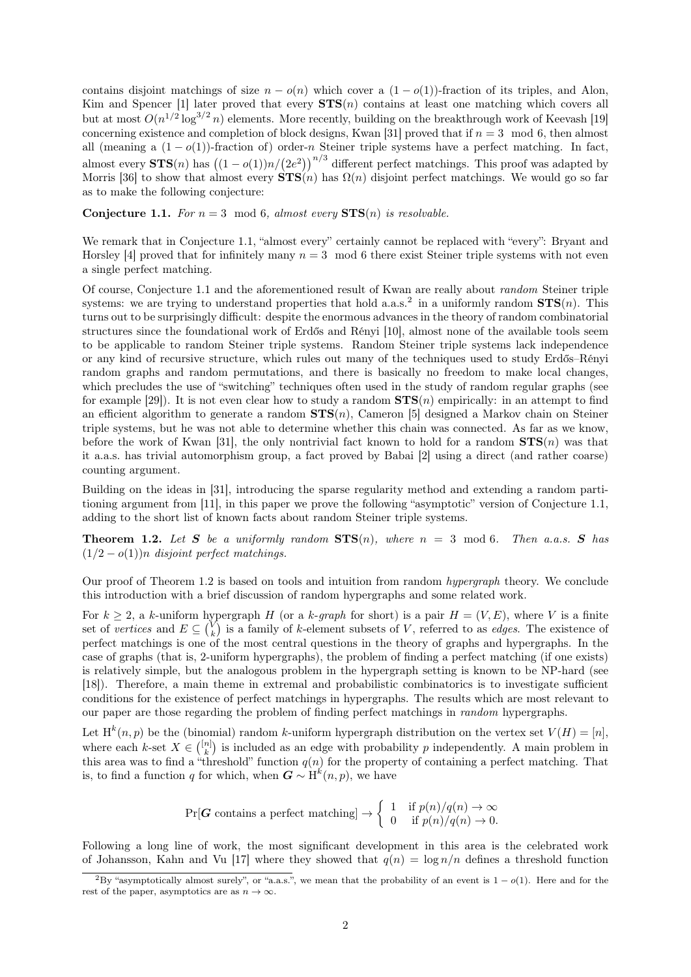contains disjoint matchings of size  $n - o(n)$  which cover a  $(1 - o(1))$ -fraction of its triples, and Alon, Kim and Spencer [\[1\]](#page-19-2) later proved that every  $STS(n)$  contains at least one matching which covers all but at most  $O(n^{1/2} \log^{3/2} n)$  elements. More recently, building on the breakthrough work of Keevash [\[19\]](#page-20-3) concerning existence and completion of block designs, Kwan [\[31\]](#page-20-4) proved that if  $n = 3 \mod 6$ , then almost all (meaning a  $(1 - o(1))$ -fraction of) order-n Steiner triple systems have a perfect matching. In fact, almost every  $\text{STS}(n)$  has  $((1 - o(1))n/(2e^2))^{n/3}$  different perfect matchings. This proof was adapted by Morris [\[36\]](#page-20-5) to show that almost every  $\text{STS}(n)$  has  $\Omega(n)$  disjoint perfect matchings. We would go so far as to make the following conjecture:

<span id="page-1-0"></span>**Conjecture 1.1.** For  $n = 3 \mod 6$ , almost every  $STS(n)$  is resolvable.

We remark that in [Conjecture 1.1,](#page-1-0) "almost every" certainly cannot be replaced with "every": Bryant and Horsley [\[4\]](#page-19-3) proved that for infinitely many  $n = 3 \mod 6$  there exist Steiner triple systems with not even a single perfect matching.

Of course, [Conjecture 1.1](#page-1-0) and the aforementioned result of Kwan are really about random Steiner triple systems: we are trying to understand properties that hold a.a.s.<sup>[2](#page-1-1)</sup> in a uniformly random  $\text{STS}(n)$ . This turns out to be surprisingly difficult: despite the enormous advances in the theory of random combinatorial structures since the foundational work of Erdős and Rényi [\[10\]](#page-19-4), almost none of the available tools seem to be applicable to random Steiner triple systems. Random Steiner triple systems lack independence or any kind of recursive structure, which rules out many of the techniques used to study Erdős–Rényi random graphs and random permutations, and there is basically no freedom to make local changes, which precludes the use of "switching" techniques often used in the study of random regular graphs (see for example [\[29\]](#page-20-6)). It is not even clear how to study a random  $\mathbf{STS}(n)$  empirically: in an attempt to find an efficient algorithm to generate a random  $STS(n)$ , Cameron [\[5\]](#page-19-5) designed a Markov chain on Steiner triple systems, but he was not able to determine whether this chain was connected. As far as we know, before the work of Kwan [\[31\]](#page-20-4), the only nontrivial fact known to hold for a random  $STS(n)$  was that it a.a.s. has trivial automorphism group, a fact proved by Babai [\[2\]](#page-19-6) using a direct (and rather coarse) counting argument.

Building on the ideas in [\[31\]](#page-20-4), introducing the sparse regularity method and extending a random partitioning argument from [\[11\]](#page-19-7), in this paper we prove the following "asymptotic" version of [Conjecture 1.1,](#page-1-0) adding to the short list of known facts about random Steiner triple systems.

<span id="page-1-2"></span>**Theorem 1.2.** Let S be a uniformly random  $STS(n)$ , where  $n = 3 \mod 6$ . Then a.a.s. S has  $(1/2 - o(1))n$  disjoint perfect matchings.

Our proof of [Theorem 1.2](#page-1-2) is based on tools and intuition from random hypergraph theory. We conclude this introduction with a brief discussion of random hypergraphs and some related work.

For  $k \geq 2$ , a k-uniform hypergraph H (or a k-graph for short) is a pair  $H = (V, E)$ , where V is a finite set of vertices and  $E \subseteq {V \choose k}$  is a family of k-element subsets of V, referred to as *edges*. The existence of perfect matchings is one of the most central questions in the theory of graphs and hypergraphs. In the case of graphs (that is, 2-uniform hypergraphs), the problem of finding a perfect matching (if one exists) is relatively simple, but the analogous problem in the hypergraph setting is known to be NP-hard (see [\[18\]](#page-20-7)). Therefore, a main theme in extremal and probabilistic combinatorics is to investigate sufficient conditions for the existence of perfect matchings in hypergraphs. The results which are most relevant to our paper are those regarding the problem of finding perfect matchings in random hypergraphs.

Let  $H^k(n, p)$  be the (binomial) random k-uniform hypergraph distribution on the vertex set  $V(H) = [n]$ , where each k-set  $X \in \binom{[n]}{k}$  is included as an edge with probability p independently. A main problem in this area was to find a "threshold" function  $q(n)$  for the property of containing a perfect matching. That is, to find a function q for which, when  $G \sim H^k(n, p)$ , we have

$$
\Pr[\mathbf{G} \text{ contains a perfect matching}] \rightarrow \begin{cases} 1 & \text{if } p(n)/q(n) \rightarrow \infty \\ 0 & \text{if } p(n)/q(n) \rightarrow 0. \end{cases}
$$

Following a long line of work, the most significant development in this area is the celebrated work of Johansson, Kahn and Vu [\[17\]](#page-20-8) where they showed that  $q(n) = \log n/n$  defines a threshold function

<span id="page-1-1"></span><sup>&</sup>lt;sup>2</sup>By "asymptotically almost surely", or "a.a.s.", we mean that the probability of an event is  $1 - o(1)$ . Here and for the rest of the paper, asymptotics are as  $n \to \infty$ .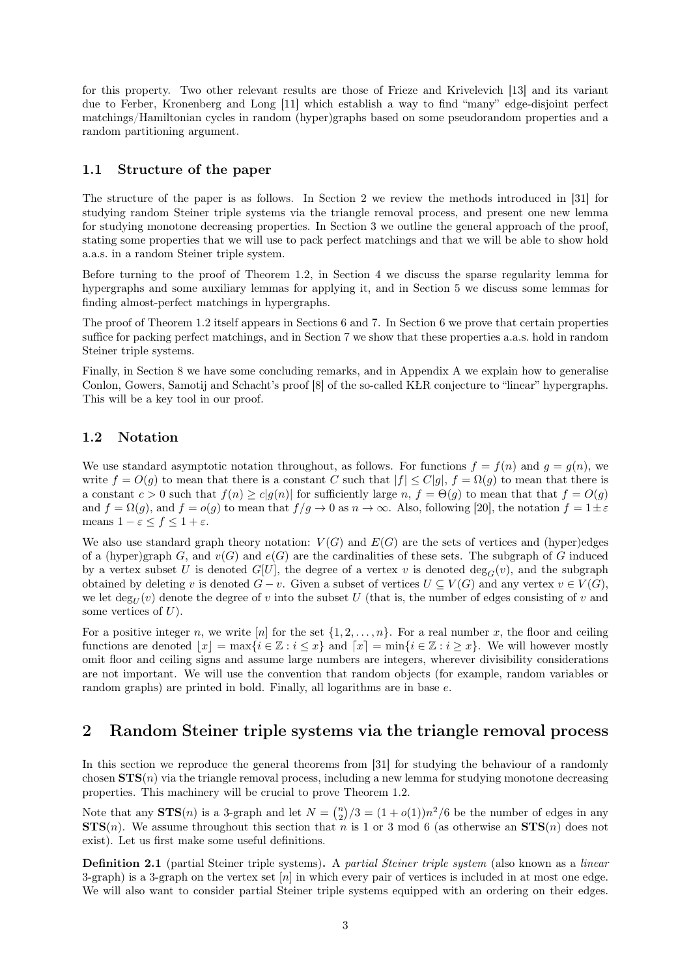for this property. Two other relevant results are those of Frieze and Krivelevich [\[13\]](#page-19-8) and its variant due to Ferber, Kronenberg and Long [\[11\]](#page-19-7) which establish a way to find "many" edge-disjoint perfect matchings/Hamiltonian cycles in random (hyper)graphs based on some pseudorandom properties and a random partitioning argument.

### 1.1 Structure of the paper

The structure of the paper is as follows. In [Section 2](#page-2-0) we review the methods introduced in [\[31\]](#page-20-4) for studying random Steiner triple systems via the triangle removal process, and present one new lemma for studying monotone decreasing properties. In [Section 3](#page-4-0) we outline the general approach of the proof, stating some properties that we will use to pack perfect matchings and that we will be able to show hold a.a.s. in a random Steiner triple system.

Before turning to the proof of [Theorem 1.2,](#page-1-2) in [Section 4](#page-7-0) we discuss the sparse regularity lemma for hypergraphs and some auxiliary lemmas for applying it, and in [Section 5](#page-10-0) we discuss some lemmas for finding almost-perfect matchings in hypergraphs.

The proof of [Theorem 1.2](#page-1-2) itself appears in [Sections 6](#page-11-0) and [7.](#page-14-0) In [Section 6](#page-11-0) we prove that certain properties suffice for packing perfect matchings, and in [Section 7](#page-14-0) we show that these properties a.a.s. hold in random Steiner triple systems.

Finally, in [Section 8](#page-18-0) we have some concluding remarks, and in [Appendix A](#page-21-2) we explain how to generalise Conlon, Gowers, Samotij and Schacht's proof [\[8\]](#page-19-9) of the so-called KŁR conjecture to "linear" hypergraphs. This will be a key tool in our proof.

### 1.2 Notation

We use standard asymptotic notation throughout, as follows. For functions  $f = f(n)$  and  $g = g(n)$ , we write  $f = O(g)$  to mean that there is a constant C such that  $|f| \leq C|g|$ ,  $f = \Omega(g)$  to mean that there is a constant  $c > 0$  such that  $f(n) \ge c|g(n)|$  for sufficiently large n,  $f = \Theta(g)$  to mean that that  $f = O(g)$ and  $f = \Omega(g)$ , and  $f = o(g)$  to mean that  $f/g \to 0$  as  $n \to \infty$ . Also, following [\[20\]](#page-20-9), the notation  $f = 1 \pm \varepsilon$ means  $1 - \varepsilon \le f \le 1 + \varepsilon$ .

We also use standard graph theory notation:  $V(G)$  and  $E(G)$  are the sets of vertices and (hyper)edges of a (hyper)graph G, and  $v(G)$  and  $e(G)$  are the cardinalities of these sets. The subgraph of G induced by a vertex subset U is denoted  $G[U]$ , the degree of a vertex v is denoted  $deg_G(v)$ , and the subgraph obtained by deleting v is denoted  $G - v$ . Given a subset of vertices  $U \subseteq V(G)$  and any vertex  $v \in V(G)$ , we let  $\deg_U(v)$  denote the degree of v into the subset U (that is, the number of edges consisting of v and some vertices of  $U$ ).

For a positive integer n, we write [n] for the set  $\{1, 2, \ldots, n\}$ . For a real number x, the floor and ceiling functions are denoted  $|x| = \max\{i \in \mathbb{Z} : i \leq x\}$  and  $[x] = \min\{i \in \mathbb{Z} : i \geq x\}$ . We will however mostly omit floor and ceiling signs and assume large numbers are integers, wherever divisibility considerations are not important. We will use the convention that random objects (for example, random variables or random graphs) are printed in bold. Finally, all logarithms are in base e.

### <span id="page-2-0"></span>2 Random Steiner triple systems via the triangle removal process

In this section we reproduce the general theorems from [\[31\]](#page-20-4) for studying the behaviour of a randomly chosen  $STS(n)$  via the triangle removal process, including a new lemma for studying monotone decreasing properties. This machinery will be crucial to prove [Theorem 1.2.](#page-1-2)

Note that any  $\text{STS}(n)$  is a 3-graph and let  $N = \binom{n}{2}/3 = (1+o(1))n^2/6$  be the number of edges in any  $STS(n)$ . We assume throughout this section that n is 1 or 3 mod 6 (as otherwise an  $STS(n)$  does not exist). Let us first make some useful definitions.

Definition 2.1 (partial Steiner triple systems). A partial Steiner triple system (also known as a linear 3-graph) is a 3-graph on the vertex set  $[n]$  in which every pair of vertices is included in at most one edge. We will also want to consider partial Steiner triple systems equipped with an ordering on their edges.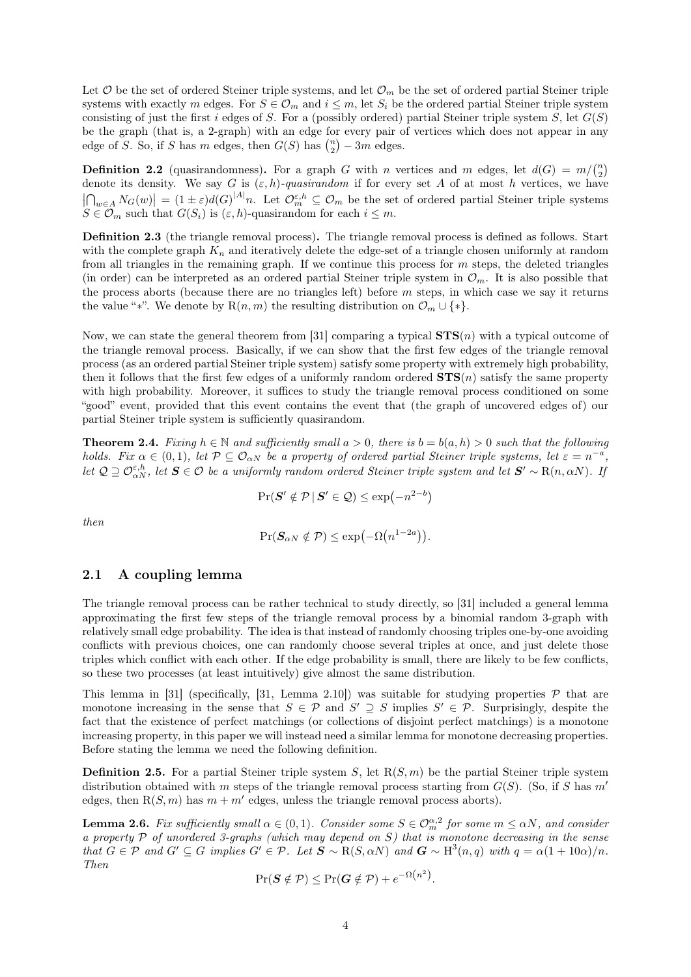Let  $\mathcal O$  be the set of ordered Steiner triple systems, and let  $\mathcal O_m$  be the set of ordered partial Steiner triple systems with exactly m edges. For  $S \in \mathcal{O}_m$  and  $i \leq m$ , let  $S_i$  be the ordered partial Steiner triple system consisting of just the first i edges of S. For a (possibly ordered) partial Steiner triple system S, let  $G(S)$ be the graph (that is, a 2-graph) with an edge for every pair of vertices which does not appear in any edge of S. So, if S has m edges, then  $G(S)$  has  $\binom{n}{2} - 3m$  edges.

**Definition 2.2** (quasirandomness). For a graph G with n vertices and m edges, let  $d(G) = m \binom{n}{2}$ denote its density. We say G is  $(\varepsilon, h)$ -quasirandom if for every set A of at most h vertices, we have  $\left|\bigcap_{w\in A}N_G(w)\right|=(1\pm\varepsilon)d(G)^{|A|}n$ . Let  $\mathcal{O}_m^{\varepsilon,h}\subseteq\mathcal{O}_m$  be the set of ordered partial Steiner triple systems  $S \in \mathcal{O}_m$  such that  $G(S_i)$  is  $(\varepsilon, h)$ -quasirandom for each  $i \leq m$ .

Definition 2.3 (the triangle removal process). The triangle removal process is defined as follows. Start with the complete graph  $K_n$  and iteratively delete the edge-set of a triangle chosen uniformly at random from all triangles in the remaining graph. If we continue this process for  $m$  steps, the deleted triangles (in order) can be interpreted as an ordered partial Steiner triple system in  $\mathcal{O}_m$ . It is also possible that the process aborts (because there are no triangles left) before  $m$  steps, in which case we say it returns the value "\*". We denote by  $R(n, m)$  the resulting distribution on  $\mathcal{O}_m \cup \{*\}.$ 

Now, we can state the general theorem from [\[31\]](#page-20-4) comparing a typical  $STS(n)$  with a typical outcome of the triangle removal process. Basically, if we can show that the first few edges of the triangle removal process (as an ordered partial Steiner triple system) satisfy some property with extremely high probability, then it follows that the first few edges of a uniformly random ordered  $STS(n)$  satisfy the same property with high probability. Moreover, it suffices to study the triangle removal process conditioned on some "good" event, provided that this event contains the event that (the graph of uncovered edges of) our partial Steiner triple system is sufficiently quasirandom.

<span id="page-3-1"></span>**Theorem 2.4.** Fixing  $h \in \mathbb{N}$  and sufficiently small  $a > 0$ , there is  $b = b(a, h) > 0$  such that the following holds. Fix  $\alpha \in (0,1)$ , let  $\mathcal{P} \subseteq \mathcal{O}_{\alpha N}$  be a property of ordered partial Steiner triple systems, let  $\varepsilon = n^{-a}$ , let  $\mathcal{Q} \supseteq \mathcal{O}_{\alpha N}^{\varepsilon,h}$ , let  $\mathbf{S} \in \mathcal{O}$  be a uniformly random ordered Steiner triple system and let  $\mathbf{S}' \sim \mathrm{R}(n, \alpha N)$ . If

$$
\Pr(\boldsymbol{S}' \notin \mathcal{P} \,|\, \boldsymbol{S}' \in \mathcal{Q}) \le \exp(-n^{2-b})
$$

then

$$
\Pr(\mathbf{S}_{\alpha N} \notin \mathcal{P}) \le \exp(-\Omega(n^{1-2a})).
$$

### 2.1 A coupling lemma

The triangle removal process can be rather technical to study directly, so [\[31\]](#page-20-4) included a general lemma approximating the first few steps of the triangle removal process by a binomial random 3-graph with relatively small edge probability. The idea is that instead of randomly choosing triples one-by-one avoiding conflicts with previous choices, one can randomly choose several triples at once, and just delete those triples which conflict with each other. If the edge probability is small, there are likely to be few conflicts, so these two processes (at least intuitively) give almost the same distribution.

This lemma in [\[31\]](#page-20-4) (specifically, [\[31,](#page-20-4) Lemma 2.10]) was suitable for studying properties  $P$  that are monotone increasing in the sense that  $S \in \mathcal{P}$  and  $S' \supseteq S$  implies  $S' \in \mathcal{P}$ . Surprisingly, despite the fact that the existence of perfect matchings (or collections of disjoint perfect matchings) is a monotone increasing property, in this paper we will instead need a similar lemma for monotone decreasing properties. Before stating the lemma we need the following definition.

**Definition 2.5.** For a partial Steiner triple system S, let  $R(S, m)$  be the partial Steiner triple system distribution obtained with m steps of the triangle removal process starting from  $G(S)$ . (So, if S has m' edges, then  $R(S, m)$  has  $m + m'$  edges, unless the triangle removal process aborts).

<span id="page-3-0"></span>**Lemma 2.6.** Fix sufficiently small  $\alpha \in (0,1)$ . Consider some  $S \in \mathcal{O}_{m}^{\alpha,2}$  for some  $m \leq \alpha N$ , and consider a property  $P$  of unordered 3-graphs (which may depend on  $S$ ) that is monotone decreasing in the sense that  $G \in \mathcal{P}$  and  $G' \subseteq G$  implies  $G' \in \mathcal{P}$ . Let  $S \sim R(S, \alpha N)$  and  $G \sim H^3(n, q)$  with  $q = \alpha(1 + 10\alpha)/n$ . Then

$$
\Pr(\boldsymbol{S} \notin \mathcal{P}) \leq \Pr(\boldsymbol{G} \notin \mathcal{P}) + e^{-\Omega(n^2)}.
$$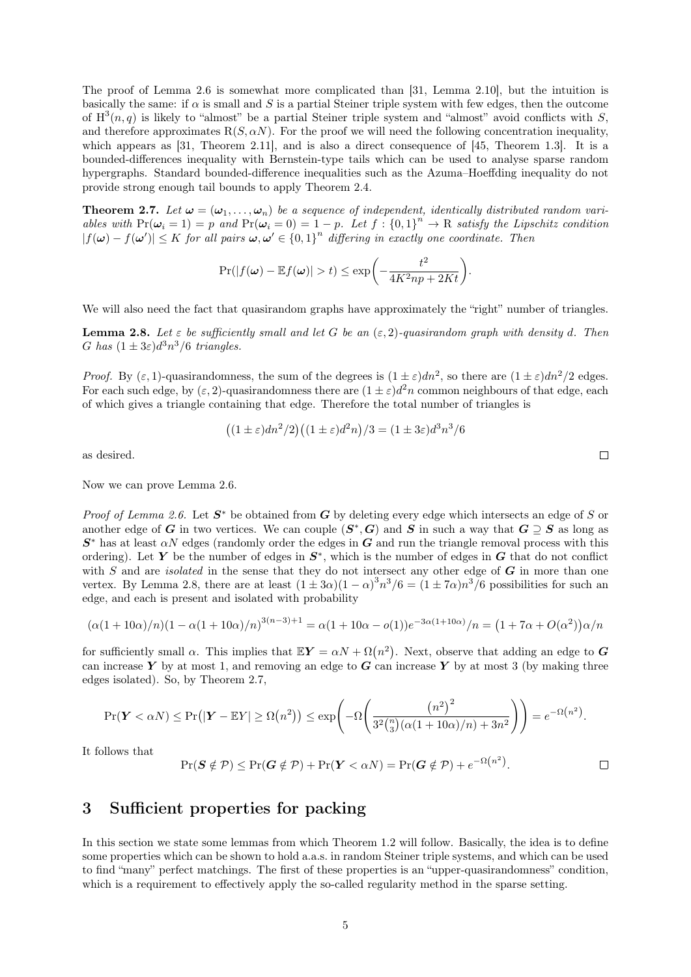The proof of [Lemma 2.6](#page-3-0) is somewhat more complicated than [\[31,](#page-20-4) Lemma 2.10], but the intuition is basically the same: if  $\alpha$  is small and S is a partial Steiner triple system with few edges, then the outcome of  $H^3(n, q)$  is likely to "almost" be a partial Steiner triple system and "almost" avoid conflicts with S, and therefore approximates  $R(S, \alpha N)$ . For the proof we will need the following concentration inequality, which appears as [\[31,](#page-20-4) Theorem 2.11], and is also a direct consequence of [\[45,](#page-21-3) Theorem 1.3]. It is a bounded-differences inequality with Bernstein-type tails which can be used to analyse sparse random hypergraphs. Standard bounded-difference inequalities such as the Azuma–Hoeffding inequality do not provide strong enough tail bounds to apply [Theorem 2.4.](#page-3-1)

<span id="page-4-2"></span>**Theorem 2.7.** Let  $\omega = (\omega_1, \ldots, \omega_n)$  be a sequence of independent, identically distributed random variables with  $Pr(\omega_i = 1) = p$  and  $Pr(\omega_i = 0) = 1 - p$ . Let  $f : \{0, 1\}^n \to \mathbb{R}$  satisfy the Lipschitz condition  $|f(\omega) - f(\omega')| \leq K$  for all pairs  $\omega, \omega' \in \{0,1\}^n$  differing in exactly one coordinate. Then

$$
\Pr(|f(\boldsymbol{\omega}) - \mathbb{E}f(\boldsymbol{\omega})| > t) \le \exp\bigg(-\frac{t^2}{4K^2np + 2Kt}\bigg).
$$

<span id="page-4-1"></span>We will also need the fact that quasirandom graphs have approximately the "right" number of triangles.

**Lemma 2.8.** Let  $\varepsilon$  be sufficiently small and let G be an  $(\varepsilon, 2)$ -quasirandom graph with density d. Then G has  $(1 \pm 3\varepsilon)d^3n^3/6$  triangles.

*Proof.* By  $(\varepsilon, 1)$ -quasirandomness, the sum of the degrees is  $(1 \pm \varepsilon)dn^2$ , so there are  $(1 \pm \varepsilon)dn^2/2$  edges. For each such edge, by  $(\varepsilon, 2)$ -quasirandomness there are  $(1 \pm \varepsilon)d^2n$  common neighbours of that edge, each of which gives a triangle containing that edge. Therefore the total number of triangles is

$$
((1 \pm \varepsilon)dn^2/2)((1 \pm \varepsilon)d^2n)/3 = (1 \pm 3\varepsilon)d^3n^3/6
$$

as desired.

Now we can prove [Lemma 2.6.](#page-3-0)

*Proof of [Lemma 2.6.](#page-3-0)* Let  $S^*$  be obtained from G by deleting every edge which intersects an edge of S or another edge of G in two vertices. We can couple  $(S^*, G)$  and S in such a way that  $G \supseteq S$  as long as  $S^*$  has at least  $\alpha N$  edges (randomly order the edges in G and run the triangle removal process with this ordering). Let Y be the number of edges in  $S^*$ , which is the number of edges in G that do not conflict with  $S$  and are *isolated* in the sense that they do not intersect any other edge of  $G$  in more than one vertex. By [Lemma 2.8,](#page-4-1) there are at least  $(1 \pm 3\alpha)(1-\alpha)^3 n^3/6 = (1 \pm 7\alpha)n^3/6$  possibilities for such an edge, and each is present and isolated with probability

$$
(\alpha(1+10\alpha)/n)(1-\alpha(1+10\alpha)/n)^{3(n-3)+1} = \alpha(1+10\alpha-o(1))e^{-3\alpha(1+10\alpha)}/n = (1+7\alpha+O(\alpha^2))\alpha/n
$$

for sufficiently small  $\alpha$ . This implies that  $\mathbb{E}Y = \alpha N + \Omega(n^2)$ . Next, observe that adding an edge to G can increase Y by at most 1, and removing an edge to  $G$  can increase Y by at most 3 (by making three edges isolated). So, by [Theorem 2.7,](#page-4-2)

$$
\Pr(\mathbf{Y} < \alpha N) \le \Pr(|\mathbf{Y} - \mathbb{E}Y| \ge \Omega(n^2)) \le \exp\left(-\Omega\left(\frac{(n^2)^2}{3^2\binom{n}{3}(\alpha(1+10\alpha)/n) + 3n^2}\right)\right) = e^{-\Omega(n^2)}.
$$

It follows that

$$
\Pr(\boldsymbol{S} \notin \mathcal{P}) \le \Pr(\boldsymbol{G} \notin \mathcal{P}) + \Pr(\boldsymbol{Y} < \alpha N) = \Pr(\boldsymbol{G} \notin \mathcal{P}) + e^{-\Omega(n^2)}.
$$

## <span id="page-4-0"></span>3 Sufficient properties for packing

In this section we state some lemmas from which [Theorem 1.2](#page-1-2) will follow. Basically, the idea is to define some properties which can be shown to hold a.a.s. in random Steiner triple systems, and which can be used to find "many" perfect matchings. The first of these properties is an "upper-quasirandomness" condition, which is a requirement to effectively apply the so-called regularity method in the sparse setting.

 $\Box$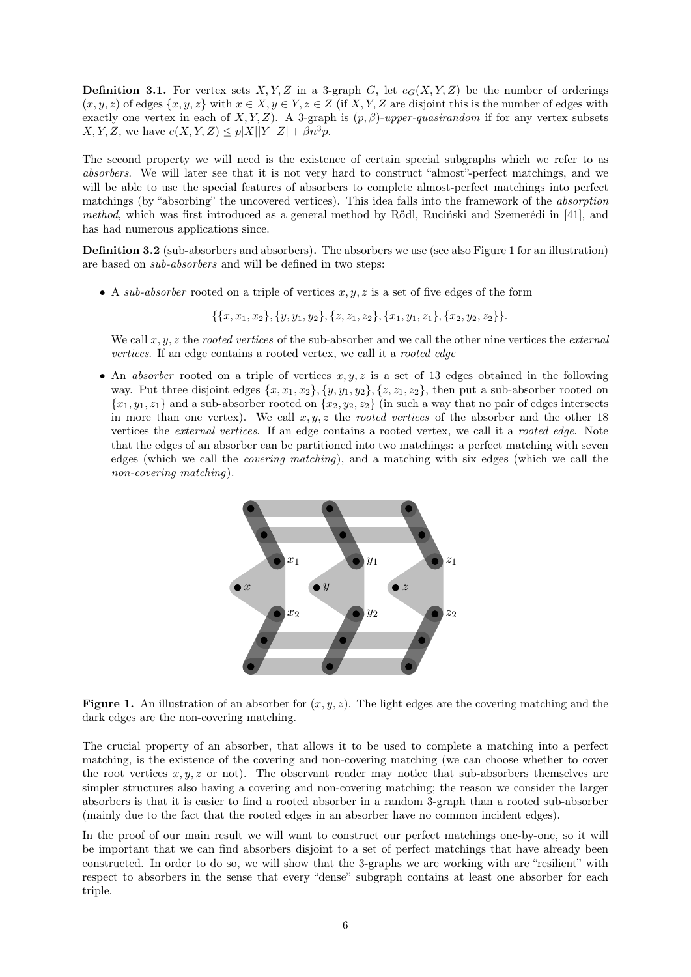**Definition 3.1.** For vertex sets  $X, Y, Z$  in a 3-graph G, let  $e_G(X, Y, Z)$  be the number of orderings  $(x, y, z)$  of edges  $\{x, y, z\}$  with  $x \in X, y \in Y, z \in Z$  (if X, Y, Z are disjoint this is the number of edges with exactly one vertex in each of  $X, Y, Z$ ). A 3-graph is  $(p, \beta)$ -upper-quasirandom if for any vertex subsets  $X, Y, Z$ , we have  $e(X, Y, Z) \leq p|X||Y||Z| + \beta n^3 p$ .

The second property we will need is the existence of certain special subgraphs which we refer to as absorbers. We will later see that it is not very hard to construct "almost"-perfect matchings, and we will be able to use the special features of absorbers to complete almost-perfect matchings into perfect matchings (by "absorbing" the uncovered vertices). This idea falls into the framework of the absorption method, which was first introduced as a general method by Rödl, Ruciński and Szemerédi in [\[41\]](#page-21-4), and has had numerous applications since.

Definition 3.2 (sub-absorbers and absorbers). The absorbers we use (see also [Figure 1](#page-5-0) for an illustration) are based on sub-absorbers and will be defined in two steps:

• A sub-absorber rooted on a triple of vertices  $x, y, z$  is a set of five edges of the form

 $\{\{x, x_1, x_2\}, \{y, y_1, y_2\}, \{z, z_1, z_2\}, \{x_1, y_1, z_1\}, \{x_2, y_2, z_2\}\}.$ 

We call  $x, y, z$  the rooted vertices of the sub-absorber and we call the other nine vertices the external vertices. If an edge contains a rooted vertex, we call it a rooted edge

<span id="page-5-0"></span>• An absorber rooted on a triple of vertices  $x, y, z$  is a set of 13 edges obtained in the following way. Put three disjoint edges  $\{x, x_1, x_2\}, \{y, y_1, y_2\}, \{z, z_1, z_2\}$ , then put a sub-absorber rooted on  ${x_1, y_1, z_1}$  and a sub-absorber rooted on  ${x_2, y_2, z_2}$  (in such a way that no pair of edges intersects in more than one vertex). We call  $x, y, z$  the *rooted vertices* of the absorber and the other 18 vertices the *external vertices*. If an edge contains a rooted vertex, we call it a *rooted edge*. Note that the edges of an absorber can be partitioned into two matchings: a perfect matching with seven edges (which we call the covering matching), and a matching with six edges (which we call the non-covering matching).



**Figure 1.** An illustration of an absorber for  $(x, y, z)$ . The light edges are the covering matching and the dark edges are the non-covering matching.

The crucial property of an absorber, that allows it to be used to complete a matching into a perfect matching, is the existence of the covering and non-covering matching (we can choose whether to cover the root vertices  $x, y, z$  or not). The observant reader may notice that sub-absorbers themselves are simpler structures also having a covering and non-covering matching; the reason we consider the larger absorbers is that it is easier to find a rooted absorber in a random 3-graph than a rooted sub-absorber (mainly due to the fact that the rooted edges in an absorber have no common incident edges).

In the proof of our main result we will want to construct our perfect matchings one-by-one, so it will be important that we can find absorbers disjoint to a set of perfect matchings that have already been constructed. In order to do so, we will show that the 3-graphs we are working with are "resilient" with respect to absorbers in the sense that every "dense" subgraph contains at least one absorber for each triple.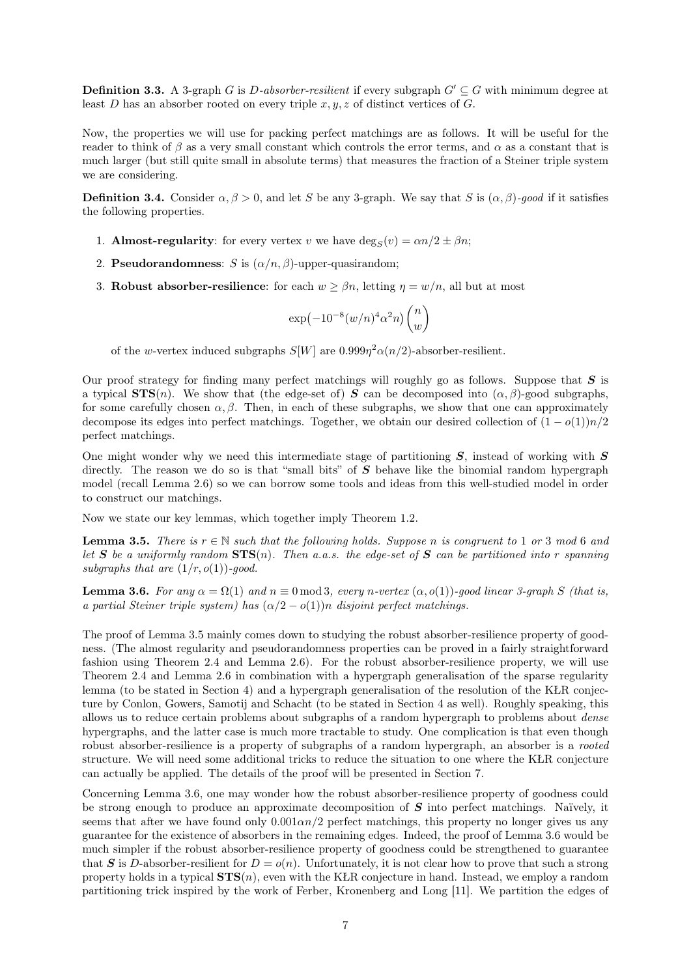**Definition 3.3.** A 3-graph G is D-absorber-resilient if every subgraph  $G' \subseteq G$  with minimum degree at least D has an absorber rooted on every triple  $x, y, z$  of distinct vertices of G.

Now, the properties we will use for packing perfect matchings are as follows. It will be useful for the reader to think of  $\beta$  as a very small constant which controls the error terms, and  $\alpha$  as a constant that is much larger (but still quite small in absolute terms) that measures the fraction of a Steiner triple system we are considering.

**Definition 3.4.** Consider  $\alpha, \beta > 0$ , and let S be any 3-graph. We say that S is  $(\alpha, \beta)$ -good if it satisfies the following properties.

- 1. **Almost-regularity**: for every vertex v we have  $\deg_S(v) = \alpha n/2 \pm \beta n$ ;
- 2. **Pseudorandomness**: S is  $(\alpha/n, \beta)$ -upper-quasirandom;
- 3. Robust absorber-resilience: for each  $w \geq \beta n$ , letting  $\eta = w/n$ , all but at most

$$
\exp\left(-10^{-8}(w/n)^4\alpha^2n\right)\binom{n}{w}
$$

of the w-vertex induced subgraphs  $S[W]$  are  $0.999\eta^2\alpha(n/2)$ -absorber-resilient.

Our proof strategy for finding many perfect matchings will roughly go as follows. Suppose that  $S$  is a typical  $STS(n)$ . We show that (the edge-set of) S can be decomposed into  $(\alpha, \beta)$ -good subgraphs, for some carefully chosen  $\alpha$ ,  $\beta$ . Then, in each of these subgraphs, we show that one can approximately decompose its edges into perfect matchings. Together, we obtain our desired collection of  $(1 - o(1))n/2$ perfect matchings.

One might wonder why we need this intermediate stage of partitioning  $S$ , instead of working with  $S$ directly. The reason we do so is that "small bits" of  $S$  behave like the binomial random hypergraph model (recall [Lemma 2.6\)](#page-3-0) so we can borrow some tools and ideas from this well-studied model in order to construct our matchings.

Now we state our key lemmas, which together imply [Theorem 1.2.](#page-1-2)

<span id="page-6-0"></span>**Lemma 3.5.** There is  $r \in \mathbb{N}$  such that the following holds. Suppose n is congruent to 1 or 3 mod 6 and let S be a uniformly random  $STS(n)$ . Then a.a.s. the edge-set of S can be partitioned into r spanning subgraphs that are  $(1/r, o(1))$ -good.

<span id="page-6-1"></span>**Lemma 3.6.** For any  $\alpha = \Omega(1)$  and  $n \equiv 0 \mod 3$ , every n-vertex  $(\alpha, o(1))$ -good linear 3-graph S (that is, a partial Steiner triple system) has  $(\alpha/2 - o(1))n$  disjoint perfect matchings.

The proof of [Lemma 3.5](#page-6-0) mainly comes down to studying the robust absorber-resilience property of goodness. (The almost regularity and pseudorandomness properties can be proved in a fairly straightforward fashion using [Theorem 2.4](#page-3-1) and [Lemma 2.6\)](#page-3-0). For the robust absorber-resilience property, we will use [Theorem 2.4](#page-3-1) and [Lemma 2.6](#page-3-0) in combination with a hypergraph generalisation of the sparse regularity lemma (to be stated in [Section 4\)](#page-7-0) and a hypergraph generalisation of the resolution of the KŁR conjecture by Conlon, Gowers, Samotij and Schacht (to be stated in [Section 4](#page-7-0) as well). Roughly speaking, this allows us to reduce certain problems about subgraphs of a random hypergraph to problems about dense hypergraphs, and the latter case is much more tractable to study. One complication is that even though robust absorber-resilience is a property of subgraphs of a random hypergraph, an absorber is a *rooted* structure. We will need some additional tricks to reduce the situation to one where the KŁR conjecture can actually be applied. The details of the proof will be presented in [Section 7.](#page-14-0)

Concerning [Lemma 3.6,](#page-6-1) one may wonder how the robust absorber-resilience property of goodness could be strong enough to produce an approximate decomposition of  $S$  into perfect matchings. Naïvely, it seems that after we have found only  $0.001\alpha n/2$  perfect matchings, this property no longer gives us any guarantee for the existence of absorbers in the remaining edges. Indeed, the proof of [Lemma 3.6](#page-6-1) would be much simpler if the robust absorber-resilience property of goodness could be strengthened to guarantee that S is D-absorber-resilient for  $D = o(n)$ . Unfortunately, it is not clear how to prove that such a strong property holds in a typical  $STS(n)$ , even with the KŁR conjecture in hand. Instead, we employ a random partitioning trick inspired by the work of Ferber, Kronenberg and Long [\[11\]](#page-19-7). We partition the edges of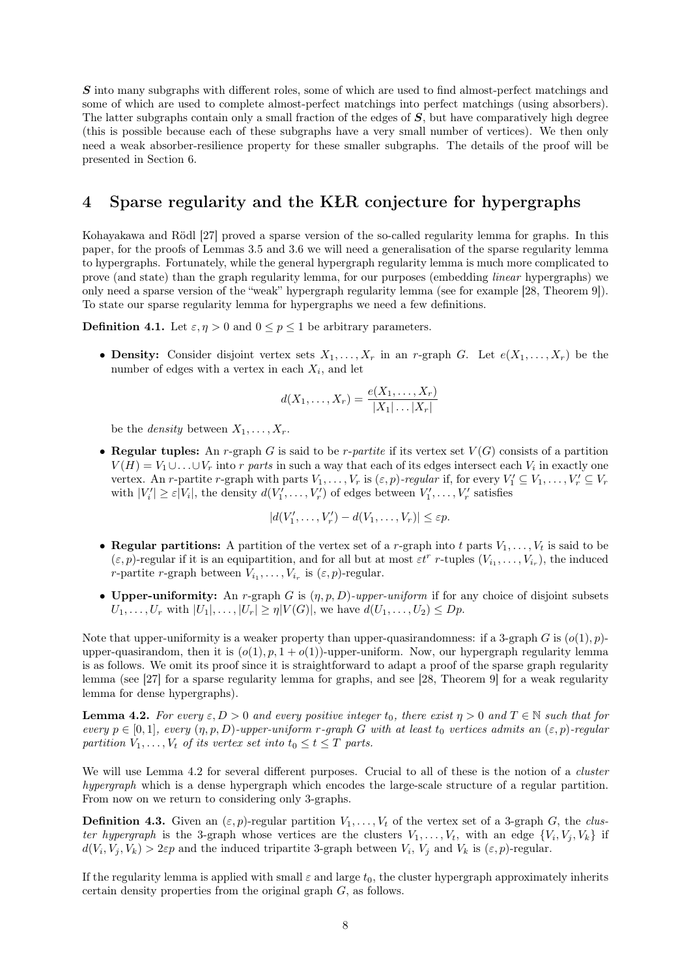S into many subgraphs with different roles, some of which are used to find almost-perfect matchings and some of which are used to complete almost-perfect matchings into perfect matchings (using absorbers). The latter subgraphs contain only a small fraction of the edges of S, but have comparatively high degree (this is possible because each of these subgraphs have a very small number of vertices). We then only need a weak absorber-resilience property for these smaller subgraphs. The details of the proof will be presented in [Section 6.](#page-11-0)

## <span id="page-7-0"></span>4 Sparse regularity and the KŁR conjecture for hypergraphs

Kohayakawa and Rödl [\[27\]](#page-20-10) proved a sparse version of the so-called regularity lemma for graphs. In this paper, for the proofs of [Lemmas 3.5](#page-6-0) and [3.6](#page-6-1) we will need a generalisation of the sparse regularity lemma to hypergraphs. Fortunately, while the general hypergraph regularity lemma is much more complicated to prove (and state) than the graph regularity lemma, for our purposes (embedding linear hypergraphs) we only need a sparse version of the "weak" hypergraph regularity lemma (see for example [\[28,](#page-20-11) Theorem 9]). To state our sparse regularity lemma for hypergraphs we need a few definitions.

**Definition 4.1.** Let  $\varepsilon, \eta > 0$  and  $0 \leq p \leq 1$  be arbitrary parameters.

• Density: Consider disjoint vertex sets  $X_1, \ldots, X_r$  in an r-graph G. Let  $e(X_1, \ldots, X_r)$  be the number of edges with a vertex in each  $X_i$ , and let

$$
d(X_1,\ldots,X_r) = \frac{e(X_1,\ldots,X_r)}{|X_1|\ldots|X_r|}
$$

be the *density* between  $X_1, \ldots, X_r$ .

• Regular tuples: An r-graph G is said to be r-partite if its vertex set  $V(G)$  consists of a partition  $V(H) = V_1 \cup \ldots \cup V_r$  into r parts in such a way that each of its edges intersect each  $V_i$  in exactly one vertex. An *r*-partite *r*-graph with parts  $V_1, \ldots, V_r$  is  $(\varepsilon, p)$ -regular if, for every  $V'_1 \subseteq V_1, \ldots, V'_r \subseteq V_r$ with  $|V_i'|\geq \varepsilon |V_i|$ , the density  $d(V_1',\ldots,V_r')$  of edges between  $V_1',\ldots,V_r'$  satisfies

$$
|d(V'_1,\ldots,V'_r)-d(V_1,\ldots,V_r)|\leq \varepsilon p.
$$

- Regular partitions: A partition of the vertex set of a r-graph into t parts  $V_1, \ldots, V_t$  is said to be  $(\varepsilon, p)$ -regular if it is an equipartition, and for all but at most  $\varepsilon t^r$  r-tuples  $(V_{i_1}, \ldots, V_{i_r})$ , the induced *r*-partite *r*-graph between  $V_{i_1}, \ldots, V_{i_r}$  is  $(\varepsilon, p)$ -regular.
- Upper-uniformity: An r-graph G is  $(\eta, p, D)$ -upper-uniform if for any choice of disjoint subsets  $U_1, \ldots, U_r$  with  $|U_1|, \ldots, |U_r| \geq \eta |V(G)|$ , we have  $d(U_1, \ldots, U_2) \leq Dp$ .

Note that upper-uniformity is a weaker property than upper-quasirandomness: if a 3-graph G is  $(o(1), p)$ upper-quasirandom, then it is  $(o(1), p, 1 + o(1))$ -upper-uniform. Now, our hypergraph regularity lemma is as follows. We omit its proof since it is straightforward to adapt a proof of the sparse graph regularity lemma (see [\[27\]](#page-20-10) for a sparse regularity lemma for graphs, and see [\[28,](#page-20-11) Theorem 9] for a weak regularity lemma for dense hypergraphs).

<span id="page-7-1"></span>**Lemma 4.2.** For every  $\varepsilon, D > 0$  and every positive integer  $t_0$ , there exist  $\eta > 0$  and  $T \in \mathbb{N}$  such that for every  $p \in [0,1]$ , every  $(\eta, p, D)$ -upper-uniform r-graph G with at least  $t_0$  vertices admits an  $(\varepsilon, p)$ -regular partition  $V_1, \ldots, V_t$  of its vertex set into  $t_0 \le t \le T$  parts.

We will use [Lemma 4.2](#page-7-1) for several different purposes. Crucial to all of these is the notion of a *cluster* hypergraph which is a dense hypergraph which encodes the large-scale structure of a regular partition. From now on we return to considering only 3-graphs.

**Definition 4.3.** Given an  $(\varepsilon, p)$ -regular partition  $V_1, \ldots, V_t$  of the vertex set of a 3-graph G, the cluster hypergraph is the 3-graph whose vertices are the clusters  $V_1, \ldots, V_t$ , with an edge  $\{V_i, V_j, V_k\}$  if  $d(V_i, V_j, V_k) > 2\varepsilon p$  and the induced tripartite 3-graph between  $V_i$ ,  $V_j$  and  $V_k$  is  $(\varepsilon, p)$ -regular.

<span id="page-7-2"></span>If the regularity lemma is applied with small  $\varepsilon$  and large  $t_0$ , the cluster hypergraph approximately inherits certain density properties from the original graph G, as follows.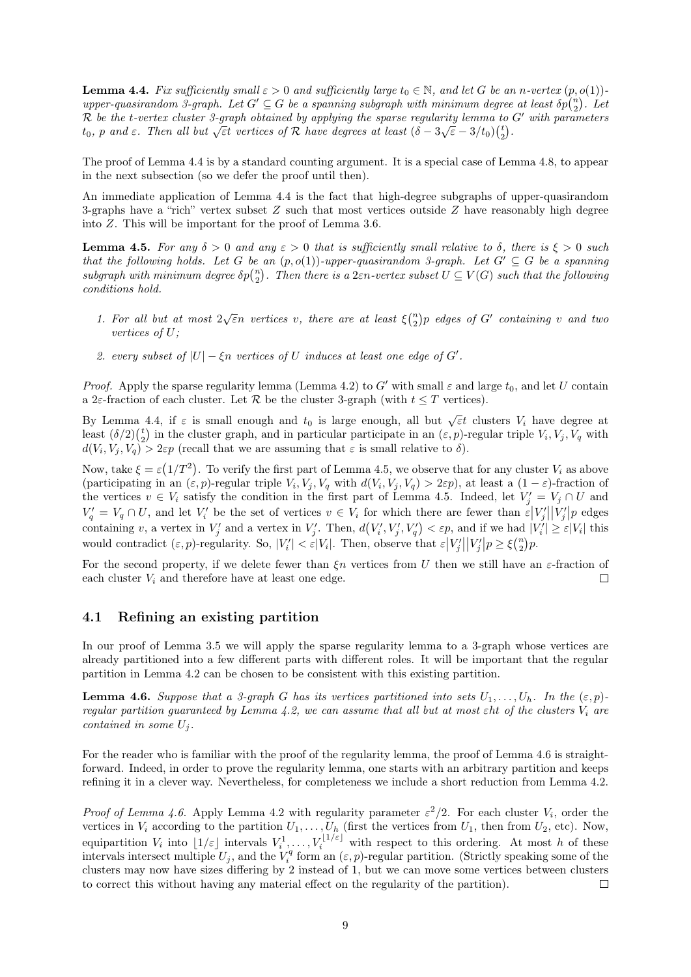**Lemma 4.4.** Fix sufficiently small  $\varepsilon > 0$  and sufficiently large  $t_0 \in \mathbb{N}$ , and let G be an n-vertex  $(p, o(1))$ upper-quasirandom 3-graph. Let  $G' \subseteq G$  be a spanning subgraph with minimum degree at least  $\delta p{n \choose 2}$ . Let R be the t-vertex cluster 3-graph obtained by applying the sparse regularity lemma to G' with parameters  $t_0$ , p and  $\varepsilon$ . Then all but  $\sqrt{\varepsilon}$ t vertices of R have degrees at least  $(\delta - 3\sqrt{\varepsilon} - 3/t_0)(\frac{t}{2})$ .

The proof of [Lemma 4.4](#page-7-2) is by a standard counting argument. It is a special case of [Lemma 4.8,](#page-9-0) to appear in the next subsection (so we defer the proof until then).

An immediate application of [Lemma 4.4](#page-7-2) is the fact that high-degree subgraphs of upper-quasirandom 3-graphs have a "rich" vertex subset  $Z$  such that most vertices outside  $Z$  have reasonably high degree into Z. This will be important for the proof of [Lemma 3.6.](#page-6-1)

<span id="page-8-0"></span>**Lemma 4.5.** For any  $\delta > 0$  and any  $\varepsilon > 0$  that is sufficiently small relative to  $\delta$ , there is  $\xi > 0$  such that the following holds. Let G be an  $(p, o(1))$ -upper-quasirandom 3-graph. Let  $G' \subseteq G$  be a spanning subgraph with minimum degree  $\delta p{n \choose 2}$ . Then there is a 2 $\varepsilon n$ -vertex subset  $U \subseteq V(G)$  such that the following conditions hold.

- 1. For all but at most  $2\sqrt{\varepsilon}n$  vertices v, there are at least  $\xi\binom{n}{2}p$  edges of G' containing v and two vertices of U;
- 2. every subset of  $|U| \xi n$  vertices of U induces at least one edge of G'.

*Proof.* Apply the sparse regularity lemma [\(Lemma 4.2\)](#page-7-1) to G' with small  $\varepsilon$  and large  $t_0$ , and let U contain a 2 $\varepsilon$ -fraction of each cluster. Let  $\mathcal R$  be the cluster 3-graph (with  $t \leq T$  vertices).

By [Lemma 4.4,](#page-7-2) if  $\varepsilon$  is small enough and  $t_0$  is large enough, all but  $\sqrt{\varepsilon}t$  clusters  $V_i$  have degree at least  $(\delta/2)$  $(\frac{t}{2})$  in the cluster graph, and in particular participate in an  $(\varepsilon, p)$ -regular triple  $V_i$ ,  $V_j$ ,  $V_q$  with  $d(V_i, V_j, V_q) > 2\varepsilon p$  (recall that we are assuming that  $\varepsilon$  is small relative to  $\delta$ ).

Now, take  $\xi = \varepsilon (1/T^2)$ . To verify the first part of [Lemma 4.5,](#page-8-0) we observe that for any cluster  $V_i$  as above (participating in an  $(\varepsilon, p)$ -regular triple  $V_i, V_j, V_q$  with  $d(V_i, V_j, V_q) > 2\varepsilon p$ ), at least a  $(1 - \varepsilon)$ -fraction of the vertices  $v \in V_i$  satisfy the condition in the first part of [Lemma 4.5.](#page-8-0) Indeed, let  $V'_j = V_j \cap U$  and  $V'_q = V_q \cap U$ , and let  $V'_i$  be the set of vertices  $v \in V_i$  for which there are fewer than  $\varepsilon |V'_j||V'_j|p$  edges containing v, a vertex in  $V'_j$  and a vertex in  $V'_j$ . Then,  $d(V'_i, V'_j, V'_q) < \varepsilon p$ , and if we had  $|V'_i| \geq \varepsilon |V_i|$  this would contradict  $(\varepsilon, p)$ -regularity. So,  $|V_i'| < \varepsilon |V_i|$ . Then, observe that  $\varepsilon |V_j'| |V_j'| p \geq \xi {n \choose 2} p$ .

For the second property, if we delete fewer than  $\xi n$  vertices from U then we still have an  $\varepsilon$ -fraction of each cluster  $V_i$  and therefore have at least one edge.  $\Box$ 

### 4.1 Refining an existing partition

In our proof of [Lemma 3.5](#page-6-0) we will apply the sparse regularity lemma to a 3-graph whose vertices are already partitioned into a few different parts with different roles. It will be important that the regular partition in [Lemma 4.2](#page-7-1) can be chosen to be consistent with this existing partition.

<span id="page-8-1"></span>**Lemma 4.6.** Suppose that a 3-graph G has its vertices partitioned into sets  $U_1, \ldots, U_h$ . In the  $(\varepsilon, p)$ -regular partition guaranteed by [Lemma 4.2,](#page-7-1) we can assume that all but at most  $\varepsilon$ ht of the clusters  $V_i$  are contained in some  $U_i$ .

For the reader who is familiar with the proof of the regularity lemma, the proof of [Lemma 4.6](#page-8-1) is straightforward. Indeed, in order to prove the regularity lemma, one starts with an arbitrary partition and keeps refining it in a clever way. Nevertheless, for completeness we include a short reduction from [Lemma 4.2.](#page-7-1)

*Proof of [Lemma 4.6.](#page-8-1)* Apply [Lemma 4.2](#page-7-1) with regularity parameter  $\varepsilon^2/2$ . For each cluster  $V_i$ , order the vertices in  $V_i$  according to the partition  $U_1, \ldots, U_h$  (first the vertices from  $U_1$ , then from  $U_2$ , etc). Now, equipartition  $V_i$  into  $\lfloor 1/\varepsilon \rfloor$  intervals  $V_i^1, \ldots, V_i^{\lfloor 1/\varepsilon \rfloor}$  with respect to this ordering. At most h of these intervals intersect multiple  $U_j$ , and the  $V_i^q$  form an  $(\varepsilon, p)$ -regular partition. (Strictly speaking some of the clusters may now have sizes differing by 2 instead of 1, but we can move some vertices between clusters to correct this without having any material effect on the regularity of the partition).  $\Box$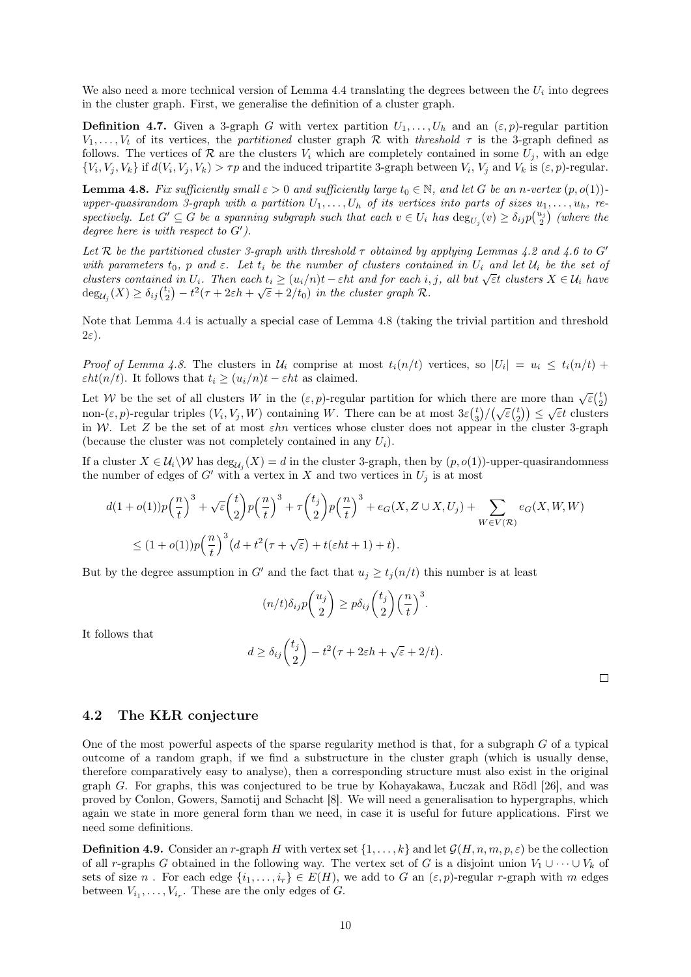We also need a more technical version of [Lemma 4.4](#page-7-2) translating the degrees between the  $U_i$  into degrees in the cluster graph. First, we generalise the definition of a cluster graph.

**Definition 4.7.** Given a 3-graph G with vertex partition  $U_1, \ldots, U_h$  and an  $(\varepsilon, p)$ -regular partition  $V_1, \ldots, V_t$  of its vertices, the partitioned cluster graph R with threshold  $\tau$  is the 3-graph defined as follows. The vertices of R are the clusters  $V_i$  which are completely contained in some  $U_i$ , with an edge  $\{V_i, V_j, V_k\}$  if  $d(V_i, V_j, V_k) > \tau p$  and the induced tripartite 3-graph between  $V_i$ ,  $V_j$  and  $V_k$  is  $(\varepsilon, p)$ -regular.

<span id="page-9-0"></span>**Lemma 4.8.** Fix sufficiently small  $\varepsilon > 0$  and sufficiently large  $t_0 \in \mathbb{N}$ , and let G be an n-vertex  $(p, o(1))$ upper-quasirandom 3-graph with a partition  $U_1, \ldots, U_h$  of its vertices into parts of sizes  $u_1, \ldots, u_h$ , respectively. Let  $G' \subseteq G$  be a spanning subgraph such that each  $v \in U_i$  has  $\deg_{U_j}(v) \geq \delta_{ij} p\binom{u_j}{2}$  (where the degree here is with respect to  $G'$ ).

Let R be the partitioned cluster 3-graph with threshold  $\tau$  obtained by applying [Lemmas 4.2](#page-7-1) and [4.6](#page-8-1) to G' with parameters  $t_0$ , p and  $\varepsilon$ . Let  $t_i$  be the number of clusters contained in  $U_i$  and let  $\mathcal{U}_i$  be the set of but parameters  $c_0$ , p and  $\varepsilon$ . Let  $t_i$  be the namber of custers contained in  $C_i$  and let  $\alpha_i$  be the set of clusters contained in  $U_i$ . Then each  $t_i \geq (u_i/n)t - \varepsilon ht$  and for each  $i, j$ , all but  $\sqrt{\varepsilon}t$  clusters  $deg_{\mathcal{U}_j}(X) \geq \delta_{ij} {t_i \choose 2} - t^2(\tau + 2\varepsilon h + \sqrt{\varepsilon} + 2/t_0)$  in the cluster graph R.

Note that [Lemma 4.4](#page-7-2) is actually a special case of [Lemma 4.8](#page-9-0) (taking the trivial partition and threshold  $2\varepsilon$ ).

Proof of [Lemma 4.8.](#page-9-0) The clusters in  $\mathcal{U}_i$  comprise at most  $t_i(n/t)$  vertices, so  $|U_i| = u_i \leq t_i(n/t) +$  $\varepsilon ht(n/t)$ . It follows that  $t_i \geq (u_i/n)t - \varepsilon ht$  as claimed.

Let W be the set of all clusters W in the  $(\varepsilon, p)$ -regular partition for which there are more than  $\sqrt{\varepsilon} {t \choose 2}$ non- $(\varepsilon, p)$ -regular triples  $(V_i, V_j, W)$  containing W. There can be at most  $3\varepsilon {t \choose 3}/(\sqrt{\varepsilon} {t \choose 2}) \le \sqrt{\varepsilon}t$  clusters in W. Let Z be the set of at most  $\varepsilon h n$  vertices whose cluster does not appear in the cluster 3-graph (because the cluster was not completely contained in any  $U_i$ ).

If a cluster  $X \in \mathcal{U}_i \setminus \mathcal{W}$  has  $\deg_{\mathcal{U}_j}(X) = d$  in the cluster 3-graph, then by  $(p, o(1))$ -upper-quasirandomness the number of edges of G' with a vertex in X and two vertices in  $U_j$  is at most

$$
d(1+o(1))p\left(\frac{n}{t}\right)^3 + \sqrt{\varepsilon}\left(\frac{t}{2}\right)p\left(\frac{n}{t}\right)^3 + \tau\left(\frac{t_j}{2}\right)p\left(\frac{n}{t}\right)^3 + e_G(X, Z \cup X, U_j) + \sum_{W \in V(\mathcal{R})} e_G(X, W, W)
$$
  

$$
\leq (1+o(1))p\left(\frac{n}{t}\right)^3\left(d+t^2\left(\tau+\sqrt{\varepsilon}\right)+t(\varepsilon ht+1)+t\right).
$$

But by the degree assumption in G' and the fact that  $u_i \geq t_i(n/t)$  this number is at least

$$
(n/t)\delta_{ij}p\binom{u_j}{2}\geq p\delta_{ij}\binom{t_j}{2}\left(\frac{n}{t}\right)^3.
$$

It follows that

$$
d \geq \delta_{ij} \binom{t_j}{2} - t^2 \big( \tau + 2\varepsilon h + \sqrt{\varepsilon} + 2/t \big).
$$

 $\Box$ 

### 4.2 The KŁR conjecture

One of the most powerful aspects of the sparse regularity method is that, for a subgraph G of a typical outcome of a random graph, if we find a substructure in the cluster graph (which is usually dense, therefore comparatively easy to analyse), then a corresponding structure must also exist in the original graph G. For graphs, this was conjectured to be true by Kohayakawa, Łuczak and Rödl [\[26\]](#page-20-12), and was proved by Conlon, Gowers, Samotij and Schacht [\[8\]](#page-19-9). We will need a generalisation to hypergraphs, which again we state in more general form than we need, in case it is useful for future applications. First we need some definitions.

**Definition 4.9.** Consider an r-graph H with vertex set  $\{1, \ldots, k\}$  and let  $\mathcal{G}(H, n, m, p, \varepsilon)$  be the collection of all r-graphs G obtained in the following way. The vertex set of G is a disjoint union  $V_1 \cup \cdots \cup V_k$  of sets of size n. For each edge  $\{i_1, \ldots, i_r\} \in E(H)$ , we add to G an  $(\varepsilon, p)$ -regular r-graph with m edges between  $V_{i_1}, \ldots, V_{i_r}$ . These are the only edges of G.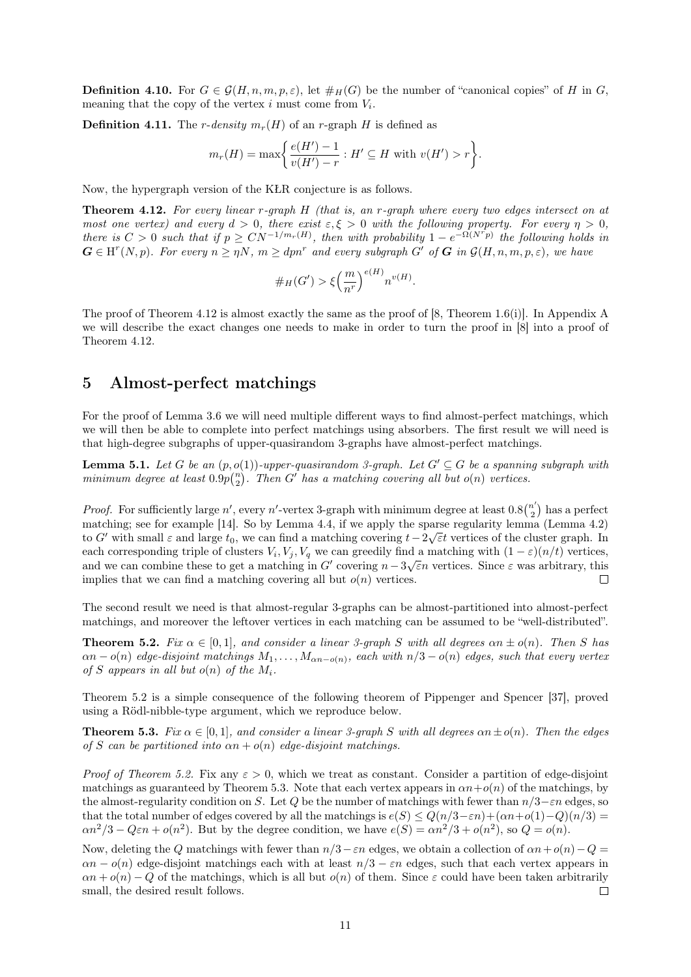**Definition 4.10.** For  $G \in \mathcal{G}(H, n, m, p, \varepsilon)$ , let  $\#_H(G)$  be the number of "canonical copies" of H in G, meaning that the copy of the vertex  $i$  must come from  $V_i$ .

<span id="page-10-5"></span>**Definition 4.11.** The *r*-density  $m_r(H)$  of an *r*-graph H is defined as

$$
m_r(H) = \max\bigg\{\frac{e(H') - 1}{v(H') - r} : H' \subseteq H \text{ with } v(H') > r\bigg\}.
$$

<span id="page-10-1"></span>Now, the hypergraph version of the KŁR conjecture is as follows.

Theorem 4.12. For every linear r-graph H (that is, an r-graph where every two edges intersect on at most one vertex) and every  $d > 0$ , there exist  $\varepsilon, \xi > 0$  with the following property. For every  $\eta > 0$ , there is  $C > 0$  such that if  $p \ge CN^{-1/m_r(H)}$ , then with probability  $1 - e^{-\Omega(N^T p)}$  the following holds in  $G \in H^{r}(N,p)$ . For every  $n \geq \eta N$ ,  $m \geq dpn^r$  and every subgraph G' of G in  $\mathcal{G}(H,n,m,p,\varepsilon)$ , we have

$$
\#_H(G') > \xi\left(\frac{m}{n^r}\right)^{e(H)} n^{v(H)}.
$$

The proof of [Theorem 4.12](#page-10-1) is almost exactly the same as the proof of [\[8,](#page-19-9) Theorem 1.6(i)]. In [Appendix A](#page-21-2) we will describe the exact changes one needs to make in order to turn the proof in [\[8\]](#page-19-9) into a proof of [Theorem 4.12.](#page-10-1)

### <span id="page-10-0"></span>5 Almost-perfect matchings

For the proof of [Lemma 3.6](#page-6-1) we will need multiple different ways to find almost-perfect matchings, which we will then be able to complete into perfect matchings using absorbers. The first result we will need is that high-degree subgraphs of upper-quasirandom 3-graphs have almost-perfect matchings.

<span id="page-10-4"></span>**Lemma 5.1.** Let G be an  $(p, o(1))$ -upper-quasirandom 3-qraph. Let  $G' \subseteq G$  be a spanning subgraph with minimum degree at least  $0.9p\binom{n}{2}$ . Then G' has a matching covering all but  $o(n)$  vertices.

*Proof.* For sufficiently large n', every n'-vertex 3-graph with minimum degree at least  $0.8\binom{n'}{2}$  $\binom{n}{2}$  has a perfect matching; see for example [\[14\]](#page-20-13). So by [Lemma 4.4,](#page-7-2) if we apply the sparse regularity lemma [\(Lemma 4.2\)](#page-7-1) to G' with small  $\varepsilon$  and large  $t_0$ , we can find a matching covering  $t-2\sqrt{\varepsilon}t$  vertices of the cluster graph. In each corresponding triple of clusters  $V_i$ ,  $V_j$ ,  $V_q$  we can greedily find a matching with  $(1 - \varepsilon)(n/t)$  vertices, and we can combine these to get a matching in G' covering  $n-3\sqrt{\varepsilon}n$  vertices. Since  $\varepsilon$  was arbitrary, this implies that we can find a matching covering all but  $o(n)$  vertices.  $\Box$ 

The second result we need is that almost-regular 3-graphs can be almost-partitioned into almost-perfect matchings, and moreover the leftover vertices in each matching can be assumed to be "well-distributed".

<span id="page-10-2"></span>**Theorem 5.2.** Fix  $\alpha \in [0,1]$ , and consider a linear 3-graph S with all degrees  $\alpha n \pm o(n)$ . Then S has  $\alpha n - o(n)$  edge-disjoint matchings  $M_1, \ldots, M_{\alpha n - o(n)}$ , each with  $n/3 - o(n)$  edges, such that every vertex of S appears in all but  $o(n)$  of the  $M_i$ .

[Theorem 5.2](#page-10-2) is a simple consequence of the following theorem of Pippenger and Spencer [\[37\]](#page-20-2), proved using a Rödl-nibble-type argument, which we reproduce below.

<span id="page-10-3"></span>**Theorem 5.3.** Fix  $\alpha \in [0,1]$ , and consider a linear 3-graph S with all degrees  $\alpha n \pm o(n)$ . Then the edges of S can be partitioned into  $\alpha n + o(n)$  edge-disjoint matchings.

*Proof of [Theorem 5.2.](#page-10-2)* Fix any  $\varepsilon > 0$ , which we treat as constant. Consider a partition of edge-disjoint matchings as guaranteed by [Theorem 5.3.](#page-10-3) Note that each vertex appears in  $\alpha n + o(n)$  of the matchings, by the almost-regularity condition on S. Let Q be the number of matchings with fewer than  $n/3-\varepsilon n$  edges, so that the total number of edges covered by all the matchings is  $e(S) \leq Q(n/3-\varepsilon n) + (\alpha n + o(1)-Q)(n/3) =$  $\alpha n^2/3 - Q\varepsilon n + o(n^2)$ . But by the degree condition, we have  $e(S) = \alpha n^2/3 + o(n^2)$ , so  $Q = o(n)$ .

Now, deleting the Q matchings with fewer than  $n/3-\varepsilon n$  edges, we obtain a collection of  $\alpha n+o(n)-Q=$  $\alpha n - o(n)$  edge-disjoint matchings each with at least  $n/3 - \varepsilon n$  edges, such that each vertex appears in  $\alpha n + o(n) - Q$  of the matchings, which is all but  $o(n)$  of them. Since  $\varepsilon$  could have been taken arbitrarily small, the desired result follows.  $\Box$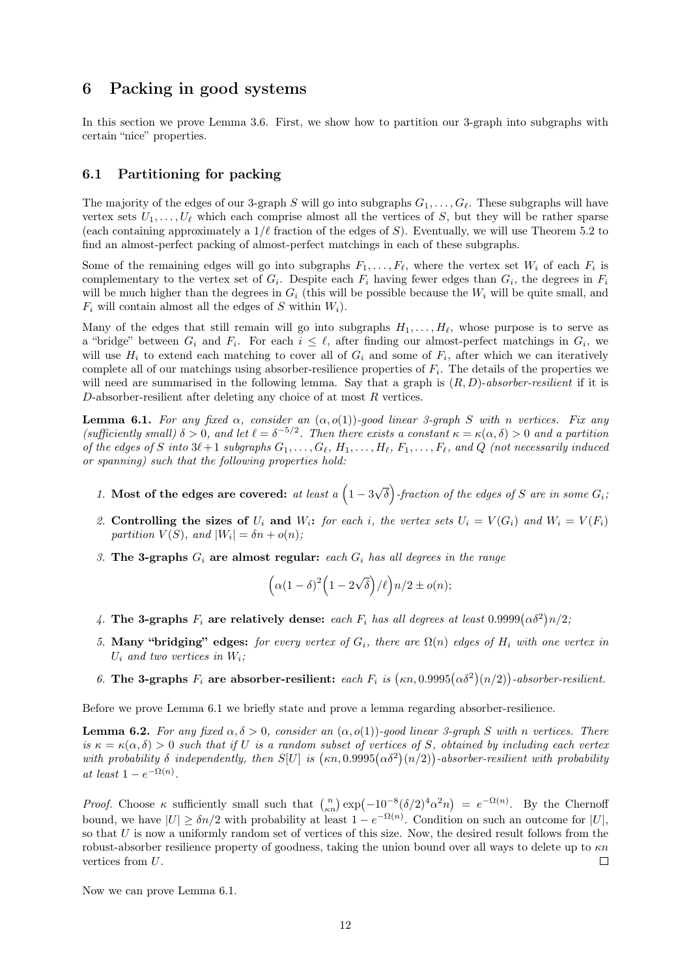## <span id="page-11-0"></span>6 Packing in good systems

In this section we prove [Lemma 3.6.](#page-6-1) First, we show how to partition our 3-graph into subgraphs with certain "nice" properties.

#### 6.1 Partitioning for packing

The majority of the edges of our 3-graph S will go into subgraphs  $G_1, \ldots, G_\ell$ . These subgraphs will have vertex sets  $U_1, \ldots, U_\ell$  which each comprise almost all the vertices of S, but they will be rather sparse (each containing approximately a  $1/\ell$  fraction of the edges of S). Eventually, we will use [Theorem 5.2](#page-10-2) to find an almost-perfect packing of almost-perfect matchings in each of these subgraphs.

Some of the remaining edges will go into subgraphs  $F_1, \ldots, F_\ell$ , where the vertex set  $W_i$  of each  $F_i$  is complementary to the vertex set of  $G_i$ . Despite each  $F_i$  having fewer edges than  $G_i$ , the degrees in  $F_i$ will be much higher than the degrees in  $G_i$  (this will be possible because the  $W_i$  will be quite small, and  $F_i$  will contain almost all the edges of S within  $W_i$ ).

Many of the edges that still remain will go into subgraphs  $H_1, \ldots, H_\ell$ , whose purpose is to serve as a "bridge" between  $G_i$  and  $F_i$ . For each  $i \leq \ell$ , after finding our almost-perfect matchings in  $G_i$ , we will use  $H_i$  to extend each matching to cover all of  $G_i$  and some of  $F_i$ , after which we can iteratively complete all of our matchings using absorber-resilience properties of  $F_i$ . The details of the properties we will need are summarised in the following lemma. Say that a graph is  $(R, D)$ -absorber-resilient if it is  $D$ -absorber-resilient after deleting any choice of at most  $R$  vertices.

<span id="page-11-1"></span>**Lemma 6.1.** For any fixed  $\alpha$ , consider an  $(\alpha, o(1))$ -good linear 3-graph S with n vertices. Fix any (sufficiently small)  $\delta > 0$ , and let  $\ell = \delta^{-5/2}$ . Then there exists a constant  $\kappa = \kappa(\alpha, \delta) > 0$  and a partition of the edges of S into  $3\ell + 1$  subgraphs  $G_1, \ldots, G_\ell, H_1, \ldots, H_\ell, F_1, \ldots, F_\ell$ , and Q (not necessarily induced or spanning) such that the following properties hold:

- 1. Most of the edges are covered: at least a  $\left(1-3\right)$ √  $\overline{\delta}$ )-fraction of the edges of S are in some  $G_i$ ;
- 2. Controlling the sizes of  $U_i$  and  $W_i$ : for each i, the vertex sets  $U_i = V(G_i)$  and  $W_i = V(F_i)$ partition  $V(S)$ , and  $|W_i| = \delta n + o(n)$ ;
- 3. The 3-graphs  $G_i$  are almost regular: each  $G_i$  has all degrees in the range

$$
(\alpha(1-\delta)^2(1-2\sqrt{\delta})/\ell\Big)n/2 \pm o(n);
$$

- 4. The 3-graphs  $F_i$  are relatively dense: each  $F_i$  has all degrees at least  $0.9999(\alpha\delta^2)n/2$ ;
- 5. Many "bridging" edges: for every vertex of  $G_i$ , there are  $\Omega(n)$  edges of  $H_i$  with one vertex in  $U_i$  and two vertices in  $W_i$ ;
- 6. The 3-graphs  $F_i$  are absorber-resilient: each  $F_i$  is  $(\kappa n, 0.9995(\alpha \delta^2)(n/2))$ -absorber-resilient.

<span id="page-11-2"></span>Before we prove [Lemma 6.1](#page-11-1) we briefly state and prove a lemma regarding absorber-resilience.

**Lemma 6.2.** For any fixed  $\alpha, \delta > 0$ , consider an  $(\alpha, o(1))$ -good linear 3-graph S with n vertices. There is  $\kappa = \kappa(\alpha, \delta) > 0$  such that if U is a random subset of vertices of S, obtained by including each vertex with probability  $\delta$  independently, then  $S[U]$  is  $(\kappa n, 0.9995(\alpha \delta^2)(n/2))$ -absorber-resilient with probability at least  $1 - e^{-\Omega(n)}$ .

Proof. Choose  $\kappa$  sufficiently small such that  $\binom{n}{\kappa n} \exp(-10^{-8} (\delta/2)^4 \alpha^2 n) = e^{-\Omega(n)}$ . By the Chernoff bound, we have  $|U| \geq \delta n/2$  with probability at least  $1 - e^{-\Omega(n)}$ . Condition on such an outcome for  $|U|$ , so that  $U$  is now a uniformly random set of vertices of this size. Now, the desired result follows from the robust-absorber resilience property of goodness, taking the union bound over all ways to delete up to  $\kappa n$ vertices from U.  $\Box$ 

Now we can prove [Lemma 6.1.](#page-11-1)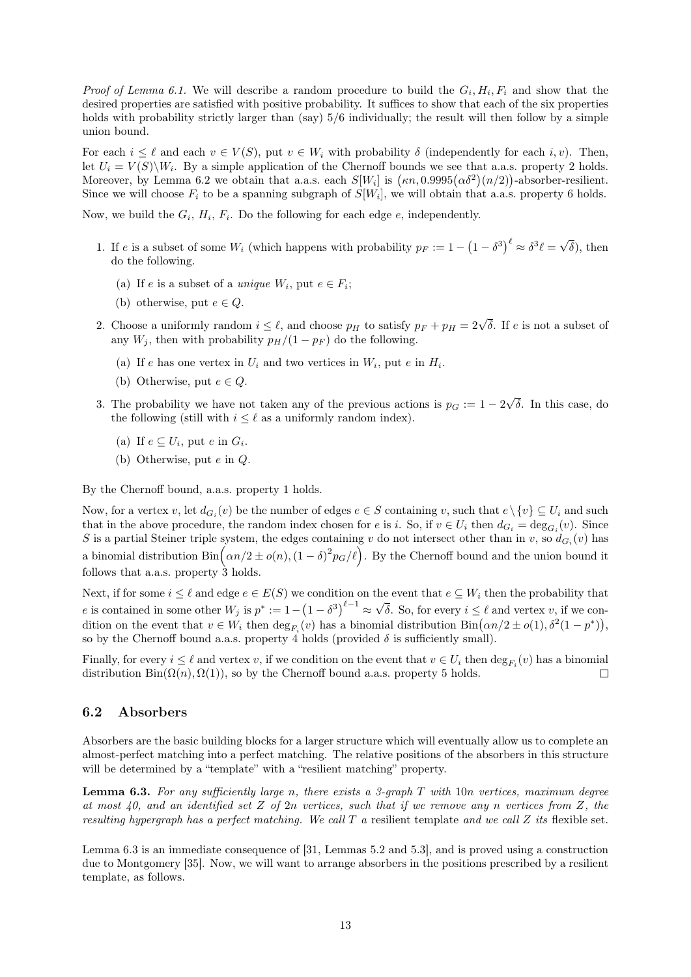*Proof of [Lemma 6.1.](#page-11-1)* We will describe a random procedure to build the  $G_i, H_i, F_i$  and show that the desired properties are satisfied with positive probability. It suffices to show that each of the six properties holds with probability strictly larger than (say)  $5/6$  individually; the result will then follow by a simple union bound.

For each  $i \leq \ell$  and each  $v \in V(S)$ , put  $v \in W_i$  with probability  $\delta$  (independently for each i, v). Then, let  $U_i = V(S) \backslash W_i$ . By a simple application of the Chernoff bounds we see that a.a.s. property 2 holds. Moreover, by [Lemma 6.2](#page-11-2) we obtain that a.a.s. each  $S[W_i]$  is  $(\kappa n, 0.9995(\alpha \delta^2)(n/2))$ -absorber-resilient. Since we will choose  $F_i$  to be a spanning subgraph of  $S[W_i]$ , we will obtain that a.a.s. property 6 holds.

Now, we build the  $G_i$ ,  $H_i$ ,  $F_i$ . Do the following for each edge  $e$ , independently.

- 1. If e is a subset of some  $W_i$  (which happens with probability  $p_F := 1 (1 \delta^3)^{\ell} \approx \delta^3 \ell =$ √  $(\delta)$ , then do the following.
	- (a) If e is a subset of a *unique*  $W_i$ , put  $e \in F_i$ ;
	- (b) otherwise, put  $e \in Q$ .
- 2. Choose a uniformly random  $i \leq \ell$ , and choose  $p_H$  to satisfy  $p_F + p_H = 2\sqrt{\delta}$ . If e is not a subset of any  $W_j$ , then with probability  $p_H/(1-p_F)$  do the following.
	- (a) If e has one vertex in  $U_i$  and two vertices in  $W_i$ , put e in  $H_i$ .
	- (b) Otherwise, put  $e \in Q$ .
- 3. The probability we have not taken any of the previous actions is  $p<sub>G</sub> := 1 2$ √ δ. In this case, do the following (still with  $i \leq \ell$  as a uniformly random index).
	- (a) If  $e \subseteq U_i$ , put  $e$  in  $G_i$ .
	- (b) Otherwise, put e in Q.

By the Chernoff bound, a.a.s. property 1 holds.

Now, for a vertex v, let  $d_{G_i}(v)$  be the number of edges  $e \in S$  containing v, such that  $e \setminus \{v\} \subseteq U_i$  and such that in the above procedure, the random index chosen for e is i. So, if  $v \in U_i$  then  $d_{G_i} = \deg_{G_i}(v)$ . Since S is a partial Steiner triple system, the edges containing v do not intersect other than in v, so  $d_{G_i}(v)$  has a binomial distribution  $\text{Bin}\left(\alpha n/2 \pm o(n), (1-\delta)^2 p_G(\ell)\right)$ . By the Chernoff bound and the union bound it follows that a.a.s. property  $\hat{3}$  holds.

Next, if for some  $i \leq \ell$  and edge  $e \in E(S)$  we condition on the event that  $e \subseteq W_i$  then the probability that e is contained in some other  $W_j$  is  $p^* := 1 - (1 - \delta^3)^{\ell - 1} \approx$ √ δ. So, for every  $i \leq \ell$  and vertex v, if we condition on the event that  $v \in W_i$  then  $\deg_{F_i}(v)$  has a binomial distribution  $\text{Bin}(\alpha n/2 \pm o(1), \delta^2(1-p^*))$ , so by the Chernoff bound a.a.s. property 4 holds (provided  $\delta$  is sufficiently small).

Finally, for every  $i \leq \ell$  and vertex v, if we condition on the event that  $v \in U_i$  then  $\deg_{F_i}(v)$  has a binomial distribution  $\text{Bin}(\Omega(n), \Omega(1))$ , so by the Chernoff bound a.a.s. property 5 holds.  $\Box$ 

#### 6.2 Absorbers

Absorbers are the basic building blocks for a larger structure which will eventually allow us to complete an almost-perfect matching into a perfect matching. The relative positions of the absorbers in this structure will be determined by a "template" with a "resilient matching" property.

<span id="page-12-0"></span>**Lemma 6.3.** For any sufficiently large n, there exists a 3-graph  $T$  with 10n vertices, maximum degree at most 40, and an identified set Z of  $2n$  vertices, such that if we remove any n vertices from Z, the resulting hypergraph has a perfect matching. We call  $T$  a resilient template and we call  $Z$  its flexible set.

[Lemma 6.3](#page-12-0) is an immediate consequence of [\[31,](#page-20-4) Lemmas 5.2 and 5.3], and is proved using a construction due to Montgomery [\[35\]](#page-20-14). Now, we will want to arrange absorbers in the positions prescribed by a resilient template, as follows.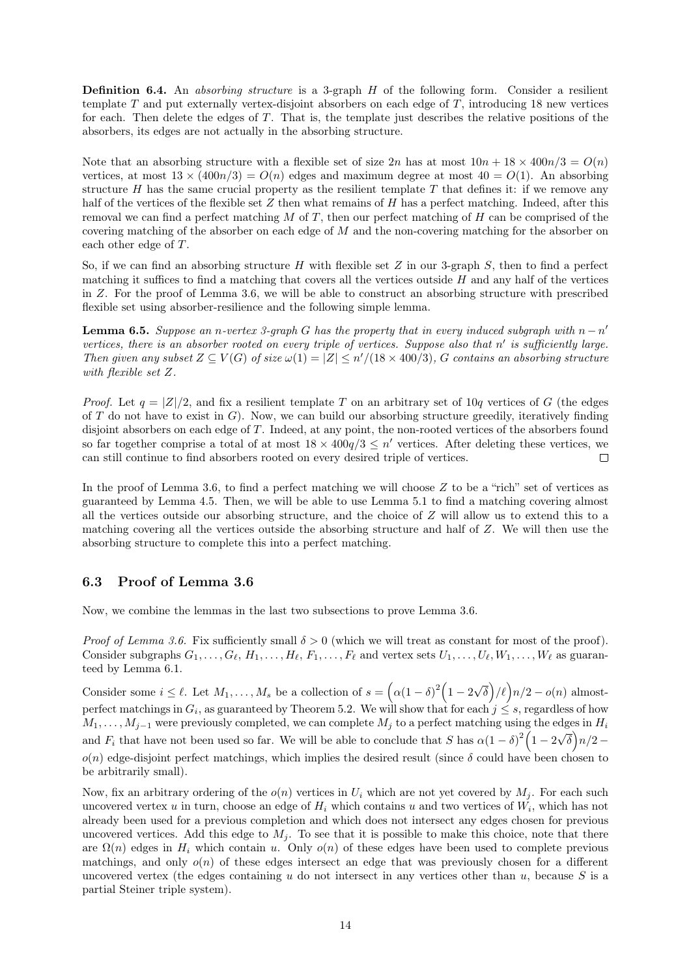**Definition 6.4.** An *absorbing structure* is a 3-graph  $H$  of the following form. Consider a resilient template T and put externally vertex-disjoint absorbers on each edge of T, introducing 18 new vertices for each. Then delete the edges of T. That is, the template just describes the relative positions of the absorbers, its edges are not actually in the absorbing structure.

Note that an absorbing structure with a flexible set of size  $2n$  has at most  $10n + 18 \times 400n/3 = O(n)$ vertices, at most  $13 \times (400n/3) = O(n)$  edges and maximum degree at most  $40 = O(1)$ . An absorbing structure  $H$  has the same crucial property as the resilient template  $T$  that defines it: if we remove any half of the vertices of the flexible set  $Z$  then what remains of  $H$  has a perfect matching. Indeed, after this removal we can find a perfect matching  $M$  of  $T$ , then our perfect matching of  $H$  can be comprised of the covering matching of the absorber on each edge of M and the non-covering matching for the absorber on each other edge of T.

So, if we can find an absorbing structure H with flexible set  $Z$  in our 3-graph  $S$ , then to find a perfect matching it suffices to find a matching that covers all the vertices outside H and any half of the vertices in Z. For the proof of [Lemma 3.6,](#page-6-1) we will be able to construct an absorbing structure with prescribed flexible set using absorber-resilience and the following simple lemma.

<span id="page-13-0"></span>**Lemma 6.5.** Suppose an n-vertex 3-graph G has the property that in every induced subgraph with  $n - n'$ vertices, there is an absorber rooted on every triple of vertices. Suppose also that  $n'$  is sufficiently large. Then given any subset  $Z \subseteq V(G)$  of size  $\omega(1) = |Z| \leq n'/(18 \times 400/3)$ , G contains an absorbing structure with flexible set Z.

*Proof.* Let  $q = |Z|/2$ , and fix a resilient template T on an arbitrary set of 10q vertices of G (the edges of T do not have to exist in  $G$ ). Now, we can build our absorbing structure greedily, iteratively finding disjoint absorbers on each edge of T. Indeed, at any point, the non-rooted vertices of the absorbers found so far together comprise a total of at most  $18 \times 400q/3 \leq n'$  vertices. After deleting these vertices, we can still continue to find absorbers rooted on every desired triple of vertices.  $\Box$ 

In the proof of [Lemma 3.6,](#page-6-1) to find a perfect matching we will choose  $Z$  to be a "rich" set of vertices as guaranteed by [Lemma 4.5.](#page-8-0) Then, we will be able to use [Lemma 5.1](#page-10-4) to find a matching covering almost all the vertices outside our absorbing structure, and the choice of  $Z$  will allow us to extend this to a matching covering all the vertices outside the absorbing structure and half of Z. We will then use the absorbing structure to complete this into a perfect matching.

### 6.3 Proof of [Lemma 3.6](#page-6-1)

Now, we combine the lemmas in the last two subsections to prove [Lemma 3.6.](#page-6-1)

*Proof of [Lemma 3.6.](#page-6-1)* Fix sufficiently small  $\delta > 0$  (which we will treat as constant for most of the proof). Consider subgraphs  $G_1, \ldots, G_\ell, H_1, \ldots, H_\ell, F_1, \ldots, F_\ell$  and vertex sets  $U_1, \ldots, U_\ell, W_1, \ldots, W_\ell$  as guaranteed by [Lemma 6.1.](#page-11-1)

Consider some  $i \leq \ell$ . Let  $M_1, \ldots, M_s$  be a collection of  $s = (\alpha(1 - \delta)^2)(1 - 2)$ √  $\delta(\delta)/\ell \big) n/2 - o(n)$  almostperfect matchings in  $G_i$ , as guaranteed by [Theorem 5.2.](#page-10-2) We will show that for each  $j \leq s$ , regardless of how  $M_1, \ldots, M_{j-1}$  were previously completed, we can complete  $M_j$  to a perfect matching using the edges in  $H_i$ and  $F_i$  that have not been used so far. We will be able to conclude that S has  $\alpha(1-\delta)^2(1-2\sqrt{\delta})n/2$  $o(n)$  edge-disjoint perfect matchings, which implies the desired result (since  $\delta$  could have been chosen to be arbitrarily small).

Now, fix an arbitrary ordering of the  $o(n)$  vertices in  $U_i$  which are not yet covered by  $M_i$ . For each such uncovered vertex u in turn, choose an edge of  $H_i$  which contains u and two vertices of  $W_i$ , which has not already been used for a previous completion and which does not intersect any edges chosen for previous uncovered vertices. Add this edge to  $M_i$ . To see that it is possible to make this choice, note that there are  $\Omega(n)$  edges in  $H_i$  which contain u. Only  $o(n)$  of these edges have been used to complete previous matchings, and only  $o(n)$  of these edges intersect an edge that was previously chosen for a different uncovered vertex (the edges containing  $u$  do not intersect in any vertices other than  $u$ , because  $S$  is a partial Steiner triple system).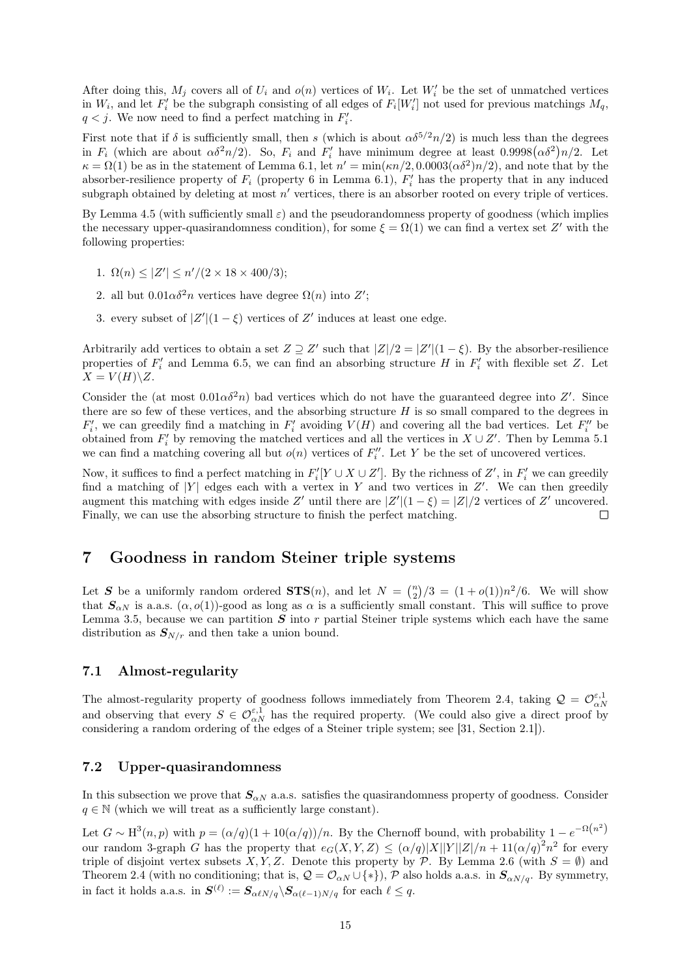After doing this,  $M_j$  covers all of  $U_i$  and  $o(n)$  vertices of  $W_i$ . Let  $W'_i$  be the set of unmatched vertices in  $W_i$ , and let  $F'_i$  be the subgraph consisting of all edges of  $F_i[W'_i]$  not used for previous matchings  $M_q$ ,  $q < j$ . We now need to find a perfect matching in  $F_i'$ .

First note that if  $\delta$  is sufficiently small, then s (which is about  $\alpha \delta^{5/2} n/2$ ) is much less than the degrees in  $F_i$  (which are about  $\alpha \delta^2 n/2$ ). So,  $F_i$  and  $F'_i$  have minimum degree at least  $0.9998(\alpha \delta^2)n/2$ . Let  $\kappa = \Omega(1)$  be as in the statement of [Lemma 6.1,](#page-11-1) let  $n' = \min(\kappa n/2, 0.0003(\alpha \delta^2)n/2)$ , and note that by the absorber-resilience property of  $F_i$  (property 6 in [Lemma 6.1\)](#page-11-1),  $F'_i$  has the property that in any induced subgraph obtained by deleting at most  $n'$  vertices, there is an absorber rooted on every triple of vertices.

By [Lemma 4.5](#page-8-0) (with sufficiently small  $\varepsilon$ ) and the pseudorandomness property of goodness (which implies the necessary upper-quasirandomness condition), for some  $\xi = \Omega(1)$  we can find a vertex set Z' with the following properties:

- 1.  $\Omega(n) \leq |Z'| \leq n'/(2 \times 18 \times 400/3);$
- 2. all but  $0.01\alpha\delta^2 n$  vertices have degree  $\Omega(n)$  into  $Z'$ ;
- 3. every subset of  $|Z'|(1-\xi)$  vertices of Z' induces at least one edge.

Arbitrarily add vertices to obtain a set  $Z \supseteq Z'$  such that  $|Z|/2 = |Z'|(1 - \xi)$ . By the absorber-resilience properties of  $F_i'$  and [Lemma 6.5,](#page-13-0) we can find an absorbing structure H in  $F_i'$  with flexible set Z. Let  $X = V(H) \backslash Z$ .

Consider the (at most  $0.01\alpha\delta^2 n$ ) bad vertices which do not have the guaranteed degree into Z'. Since there are so few of these vertices, and the absorbing structure  $H$  is so small compared to the degrees in  $F'_i$ , we can greedily find a matching in  $F'_i$  avoiding  $V(H)$  and covering all the bad vertices. Let  $F''_i$  be obtained from  $F_i'$  by removing the matched vertices and all the vertices in  $X \cup Z'$ . Then by [Lemma 5.1](#page-10-4) we can find a matching covering all but  $o(n)$  vertices of  $F''_i$ . Let Y be the set of uncovered vertices.

Now, it suffices to find a perfect matching in  $F_i'[Y \cup X \cup Z']$ . By the richness of  $Z'$ , in  $F_i'$  we can greedily find a matching of |Y| edges each with a vertex in Y and two vertices in  $Z'$ . We can then greedily augment this matching with edges inside Z' until there are  $|Z'|(1-\xi) = |Z|/2$  vertices of Z' uncovered. Finally, we can use the absorbing structure to finish the perfect matching.  $\Box$ 

### <span id="page-14-0"></span>7 Goodness in random Steiner triple systems

Let S be a uniformly random ordered  $\text{STS}(n)$ , and let  $N = \binom{n}{2}/3 = (1+o(1))n^2/6$ . We will show that  $S_{\alpha N}$  is a.a.s.  $(\alpha, o(1))$ -good as long as  $\alpha$  is a sufficiently small constant. This will suffice to prove [Lemma 3.5,](#page-6-0) because we can partition  $S$  into r partial Steiner triple systems which each have the same distribution as  $S_{N/r}$  and then take a union bound.

### 7.1 Almost-regularity

The almost-regularity property of goodness follows immediately from [Theorem 2.4,](#page-3-1) taking  $\mathcal{Q} = \mathcal{O}_{\alpha N}^{\varepsilon,1}$ and observing that every  $S \in \mathcal{O}_{\alpha N}^{\varepsilon,1}$  has the required property. (We could also give a direct proof by considering a random ordering of the edges of a Steiner triple system; see [\[31,](#page-20-4) Section 2.1]).

### <span id="page-14-1"></span>7.2 Upper-quasirandomness

In this subsection we prove that  $S_{\alpha N}$  a.a.s. satisfies the quasirandomness property of goodness. Consider  $q \in \mathbb{N}$  (which we will treat as a sufficiently large constant).

Let  $G \sim H^3(n,p)$  with  $p = (\alpha/q)(1+10(\alpha/q))/n$ . By the Chernoff bound, with probability  $1-e^{-\Omega(n^2)}$ our random 3-graph G has the property that  $e_G(X, Y, Z) \leq (\alpha/q)|X||Y||Z|/n + 11(\alpha/q)^2 n^2$  for every triple of disjoint vertex subsets X, Y, Z. Denote this property by P. By [Lemma 2.6](#page-3-0) (with  $S = \emptyset$ ) and [Theorem 2.4](#page-3-1) (with no conditioning; that is,  $\mathcal{Q} = \mathcal{O}_{\alpha N} \cup \{*\}$ ),  $\mathcal{P}$  also holds a.a.s. in  $\mathcal{S}_{\alpha N/q}$ . By symmetry, in fact it holds a.a.s. in  $S^{(\ell)} := S_{\alpha \ell N/q} \backslash S_{\alpha(\ell-1)N/q}$  for each  $\ell \leq q$ .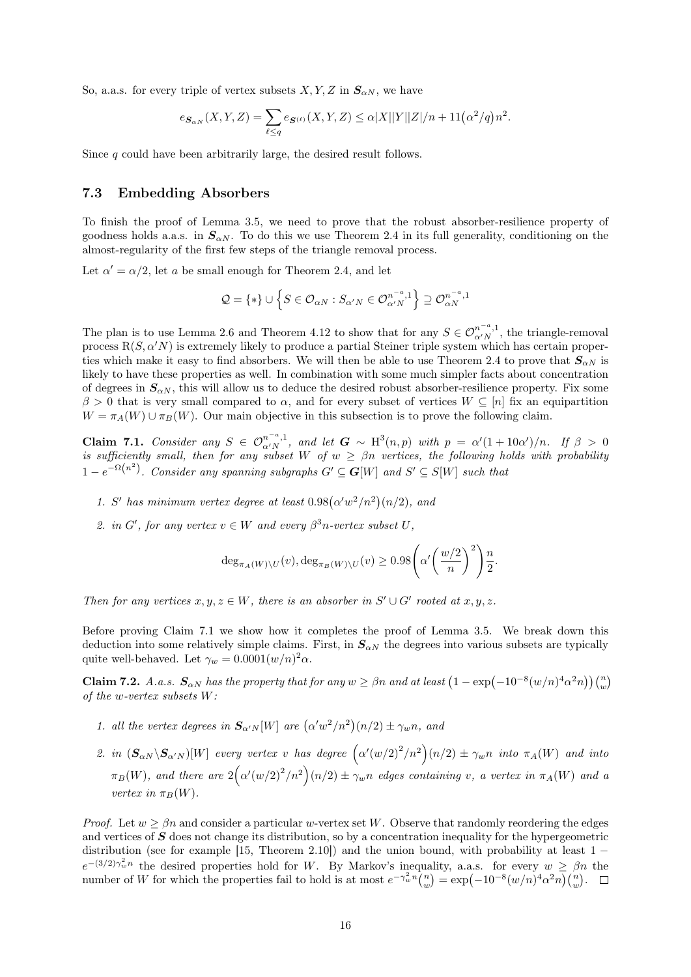So, a.a.s. for every triple of vertex subsets  $X, Y, Z$  in  $S_{\alpha N}$ , we have

$$
e_{\mathcal{S}_{\alpha N}}(X, Y, Z) = \sum_{\ell \le q} e_{\mathcal{S}^{(\ell)}}(X, Y, Z) \le \alpha |X||Y||Z|/n + 11(\alpha^2/q)n^2.
$$

Since q could have been arbitrarily large, the desired result follows.

#### 7.3 Embedding Absorbers

To finish the proof of [Lemma 3.5,](#page-6-0) we need to prove that the robust absorber-resilience property of goodness holds a.a.s. in  $S_{\alpha N}$ . To do this we use [Theorem 2.4](#page-3-1) in its full generality, conditioning on the almost-regularity of the first few steps of the triangle removal process.

Let  $\alpha' = \alpha/2$ , let a be small enough for [Theorem 2.4,](#page-3-1) and let

$$
\mathcal{Q} = \{ * \} \cup \left\{ S \in \mathcal{O}_{\alpha N} : S_{\alpha' N} \in \mathcal{O}_{\alpha' N}^{n^{-a}, 1} \right\} \supseteq \mathcal{O}_{\alpha N}^{n^{-a}, 1}
$$

The plan is to use [Lemma 2.6](#page-3-0) and [Theorem 4.12](#page-10-1) to show that for any  $S \in \mathcal{O}_{\alpha' N}^{n^{-a},1}$ , the triangle-removal process  $R(S, \alpha'N)$  is extremely likely to produce a partial Steiner triple system which has certain proper-ties which make it easy to find absorbers. We will then be able to use [Theorem 2.4](#page-3-1) to prove that  $S_{\alpha N}$  is likely to have these properties as well. In combination with some much simpler facts about concentration of degrees in  $S_{\alpha N}$ , this will allow us to deduce the desired robust absorber-resilience property. Fix some  $\beta > 0$  that is very small compared to  $\alpha$ , and for every subset of vertices  $W \subseteq [n]$  fix an equipartition  $W = \pi_A(W) \cup \pi_B(W)$ . Our main objective in this subsection is to prove the following claim.

<span id="page-15-0"></span>Claim 7.1. Consider any  $S \in \mathcal{O}_{\alpha' N}^{n^{-a},1}$ , and let  $G \sim H^3(n,p)$  with  $p = \alpha'(1+10\alpha')/n$ . If  $\beta > 0$ is sufficiently small, then for any subset W of  $w \ge \beta n$  vertices, the following holds with probability  $1-e^{-\Omega\left(n^{2}\right)}$ . Consider any spanning subgraphs  $G'\subseteq G[W]$  and  $S'\subseteq S[W]$  such that

- 1. S' has minimum vertex degree at least  $0.98(\alpha'w^2/n^2)(n/2)$ , and
- 2. in  $G'$ , for any vertex  $v \in W$  and every  $\beta^3 n$ -vertex subset U,

$$
\deg_{\pi_A(W)\backslash U}(v), \deg_{\pi_B(W)\backslash U}(v) \ge 0.98\left(\alpha'\left(\frac{w/2}{n}\right)^2\right)\frac{n}{2}.
$$

Then for any vertices  $x, y, z \in W$ , there is an absorber in  $S' \cup G'$  rooted at  $x, y, z$ .

Before proving [Claim 7.1](#page-15-0) we show how it completes the proof of [Lemma 3.5.](#page-6-0) We break down this deduction into some relatively simple claims. First, in  $S_{\alpha N}$  the degrees into various subsets are typically quite well-behaved. Let  $\gamma_w = 0.0001(w/n)^2 \alpha$ .

<span id="page-15-1"></span>**Claim 7.2.** A.a.s.  $S_{\alpha N}$  has the property that for any  $w \ge \beta n$  and at least  $\left(1 - \exp(-10^{-8}(w/n)^4 \alpha^2 n)\right) {n \choose w}$ of the w-vertex subsets W:

- 1. all the vertex degrees in  $S_{\alpha' N}[W]$  are  $(\alpha' w^2/n^2)(n/2) \pm \gamma_w n$ , and
- 2. in  $(\mathbf{S}_{\alpha N} \setminus \mathbf{S}_{\alpha' N} )[W]$  every vertex v has degree  $(\alpha'(w/2)^2/n^2)(n/2) \pm \gamma_w n$  into  $\pi_A(W)$  and into  $\pi_B(W)$ , and there are  $2(\alpha'(w/2)^2/n^2)(n/2) \pm \gamma_w n$  edges containing v, a vertex in  $\pi_A(W)$  and a vertex in  $\pi_B(W)$ .

*Proof.* Let  $w > \beta n$  and consider a particular w-vertex set W. Observe that randomly reordering the edges and vertices of  $S$  does not change its distribution, so by a concentration inequality for the hypergeometric distribution (see for example [\[15,](#page-20-15) Theorem 2.10]) and the union bound, with probability at least  $1$  $e^{-(3/2)\gamma_w^2 n}$  the desired properties hold for W. By Markov's inequality, a.a.s. for every  $w \ge \beta n$  the number of W for which the properties fail to hold is at most  $e^{-\gamma_w^2 n} \binom{n}{w} = \exp(-10^{-8}(w/n)^4 \alpha^2 n) \binom{n}{w}$ .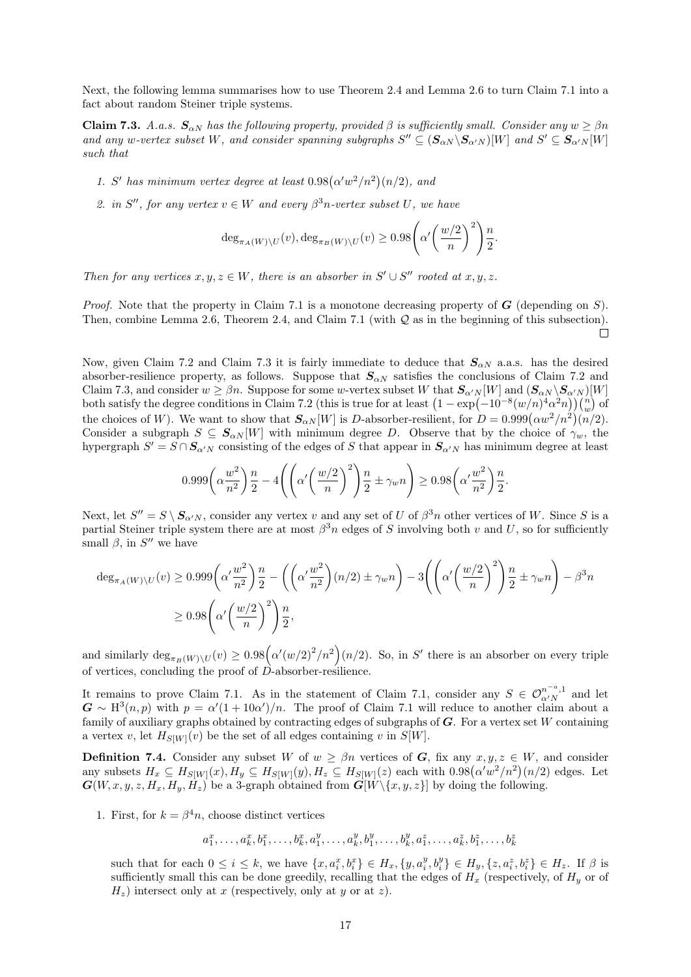Next, the following lemma summarises how to use [Theorem 2.4](#page-3-1) and [Lemma 2.6](#page-3-0) to turn [Claim 7.1](#page-15-0) into a fact about random Steiner triple systems.

<span id="page-16-0"></span>**Claim 7.3.** A.a.s.  $S_{\alpha N}$  has the following property, provided  $\beta$  is sufficiently small. Consider any  $w \ge \beta n$ and any w-vertex subset W, and consider spanning subgraphs  $S'' \subseteq (\mathbf{S}_{\alpha N} \setminus \mathbf{S}_{\alpha' N})[W]$  and  $S' \subseteq \mathbf{S}_{\alpha' N}[W]$ such that

- 1. S' has minimum vertex degree at least  $0.98(\alpha'w^2/n^2)(n/2)$ , and
- 2. in S'', for any vertex  $v \in W$  and every  $\beta^3 n$ -vertex subset U, we have

$$
\deg_{\pi_A(W)\backslash U}(v), \deg_{\pi_B(W)\backslash U}(v) \ge 0.98 \left(\alpha' \left(\frac{w/2}{n}\right)^2\right) \frac{n}{2}.
$$

Then for any vertices  $x, y, z \in W$ , there is an absorber in  $S' \cup S''$  rooted at  $x, y, z$ .

*Proof.* Note that the property in [Claim 7.1](#page-15-0) is a monotone decreasing property of  $G$  (depending on S). Then, combine [Lemma 2.6,](#page-3-0) [Theorem 2.4,](#page-3-1) and [Claim 7.1](#page-15-0) (with  $\mathcal Q$  as in the beginning of this subsection).  $\Box$ 

Now, given [Claim 7.2](#page-15-1) and [Claim 7.3](#page-16-0) it is fairly immediate to deduce that  $S_{\alpha N}$  a.a.s. has the desired absorber-resilience property, as follows. Suppose that  $S_{\alpha N}$  satisfies the conclusions of [Claim 7.2](#page-15-1) and [Claim 7.3,](#page-16-0) and consider  $w \geq \beta n$ . Suppose for some w-vertex subset W that  $S_{\alpha'N}[W]$  and  $(S_{\alpha N} \setminus S_{\alpha'N})[W]$ both satisfy the degree conditions in [Claim 7.2](#page-15-1) (this is true for at least  $\left(1 - \exp(-10^{-8}(w/n)^4 \alpha^2 n)\right) \binom{n}{w}$  of the choices of W). We want to show that  $S_{\alpha N}[W]$  is D-absorber-resilient, for  $D = 0.999(\alpha w^2/n^2)(n/2)$ . Consider a subgraph  $S \subseteq S_{\alpha N}[W]$  with minimum degree D. Observe that by the choice of  $\gamma_w$ , the hypergraph  $S' = S \cap S_{\alpha'N}$  consisting of the edges of S that appear in  $S_{\alpha'N}$  has minimum degree at least

$$
0.999\left(\alpha \frac{w^2}{n^2}\right)\frac{n}{2} - 4\left(\left(\alpha'\left(\frac{w/2}{n}\right)^2\right)\frac{n}{2} \pm \gamma_w n\right) \ge 0.98\left(\alpha'\frac{w^2}{n^2}\right)\frac{n}{2}.
$$

Next, let  $S'' = S \setminus S_{\alpha'N}$ , consider any vertex v and any set of U of  $\beta^3 n$  other vertices of W. Since S is a partial Steiner triple system there are at most  $\beta^3 n$  edges of S involving both v and U, so for sufficiently small  $\beta$ , in  $S''$  we have

$$
\deg_{\pi_A(W)\backslash U}(v) \ge 0.999 \left(\alpha' \frac{w^2}{n^2}\right) \frac{n}{2} - \left(\left(\alpha' \frac{w^2}{n^2}\right)(n/2) \pm \gamma_w n\right) - 3\left(\left(\alpha' \left(\frac{w/2}{n}\right)^2\right) \frac{n}{2} \pm \gamma_w n\right) - \beta^3 n
$$
  

$$
\ge 0.98 \left(\alpha' \left(\frac{w/2}{n}\right)^2\right) \frac{n}{2},
$$

and similarly  $\deg_{\pi_B(W)\setminus U}(v) \geq 0.98 \Big(\alpha'(w/2)^2/n^2\Big)(n/2)$ . So, in S' there is an absorber on every triple of vertices, concluding the proof of  $\vec{D}$ -absorber-resilience.

It remains to prove [Claim 7.1.](#page-15-0) As in the statement of [Claim 7.1,](#page-15-0) consider any  $S \in \mathcal{O}_{\alpha' N}^{n-a,1}$  and let  $G \sim H^3(n, p)$  with  $p = \alpha'(1 + 10\alpha')/n$ . The proof of [Claim 7.1](#page-15-0) will reduce to another claim about a family of auxiliary graphs obtained by contracting edges of subgraphs of  $G$ . For a vertex set W containing a vertex v, let  $H_{S[W]}(v)$  be the set of all edges containing v in  $S[W]$ .

<span id="page-16-1"></span>**Definition 7.4.** Consider any subset W of  $w \ge \beta n$  vertices of G, fix any  $x, y, z \in W$ , and consider any subsets  $H_x \subseteq H_{S[W]}(x), H_y \subseteq H_{S[W]}(y), H_z \subseteq H_{S[W]}(z)$  each with  $0.98(\alpha'w^2/n^2)(n/2)$  edges. Let  $\mathbf{G}(W, x, y, z, H_x, H_y, H_z)$  be a 3-graph obtained from  $\mathbf{G}[W \setminus \{x, y, z\}]$  by doing the following.

1. First, for  $k = \beta^4 n$ , choose distinct vertices

$$
a_1^x, \ldots, a_k^x, b_1^x, \ldots, b_k^x, a_1^y, \ldots, a_k^y, b_1^y, \ldots, b_k^y, a_1^z, \ldots, a_k^z, b_1^z, \ldots, b_k^z
$$

such that for each  $0 \le i \le k$ , we have  $\{x, a_i^x, b_i^x\} \in H_x, \{y, a_i^y, b_i^y\} \in H_y, \{z, a_i^z, b_i^z\} \in H_z$ . If  $\beta$  is sufficiently small this can be done greedily, recalling that the edges of  $H_x$  (respectively, of  $H_y$  or of  $H_z$ ) intersect only at x (respectively, only at y or at z).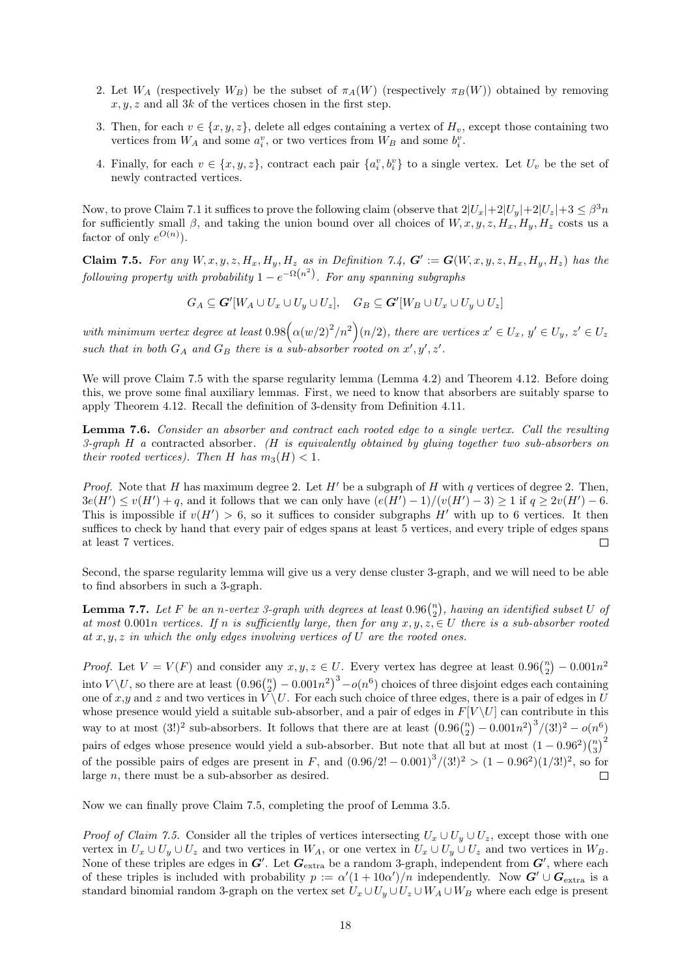- 2. Let  $W_A$  (respectively  $W_B$ ) be the subset of  $\pi_A(W)$  (respectively  $\pi_B(W)$ ) obtained by removing  $x, y, z$  and all 3k of the vertices chosen in the first step.
- 3. Then, for each  $v \in \{x, y, z\}$ , delete all edges containing a vertex of  $H_v$ , except those containing two vertices from  $W_A$  and some  $a_i^v$ , or two vertices from  $W_B$  and some  $b_i^v$ .
- 4. Finally, for each  $v \in \{x, y, z\}$ , contract each pair  $\{a_i^v, b_i^v\}$  to a single vertex. Let  $U_v$  be the set of newly contracted vertices.

Now, to prove [Claim 7.1](#page-15-0) it suffices to prove the following claim (observe that  $2|U_x|+2|U_y|+2|U_z|+3 \leq \beta^3 n$ for sufficiently small β, and taking the union bound over all choices of  $W, x, y, z, H_x, H_y, H_z$  costs us a factor of only  $e^{O(n)}$ ).

<span id="page-17-0"></span>**Claim 7.5.** For any  $W, x, y, z, H_x, H_y, H_z$  as in [Definition 7.4,](#page-16-1)  $G' := G(W, x, y, z, H_x, H_y, H_z)$  has the following property with probability  $1 - e^{-\Omega(n^2)}$ . For any spanning subgraphs

 $G_A \subseteq \mathbf{G}'[W_A \cup U_x \cup U_y \cup U_z], \quad G_B \subseteq \mathbf{G}'[W_B \cup U_x \cup U_y \cup U_z]$ 

with minimum vertex degree at least  $0.98(\alpha(w/2)^2/n^2)(n/2)$ , there are vertices  $x' \in U_x$ ,  $y' \in U_y$ ,  $z' \in U_z$ such that in both  $G_A$  and  $G_B$  there is a sub-absorber rooted on x', y', z'.

We will prove [Claim 7.5](#page-17-0) with the sparse regularity lemma [\(Lemma 4.2\)](#page-7-1) and [Theorem 4.12.](#page-10-1) Before doing this, we prove some final auxiliary lemmas. First, we need to know that absorbers are suitably sparse to apply [Theorem 4.12.](#page-10-1) Recall the definition of 3-density from [Definition 4.11.](#page-10-5)

<span id="page-17-1"></span>Lemma 7.6. Consider an absorber and contract each rooted edge to a single vertex. Call the resulting 3-graph  $H$  a contracted absorber. ( $H$  is equivalently obtained by gluing together two sub-absorbers on their rooted vertices). Then H has  $m_3(H) < 1$ .

*Proof.* Note that H has maximum degree 2. Let  $H'$  be a subgraph of H with q vertices of degree 2. Then,  $3e(H') \le v(H') + q$ , and it follows that we can only have  $(e(H') - 1)/(v(H') - 3) \ge 1$  if  $q \ge 2v(H') - 6$ . This is impossible if  $v(H') > 6$ , so it suffices to consider subgraphs H' with up to 6 vertices. It then suffices to check by hand that every pair of edges spans at least 5 vertices, and every triple of edges spans at least 7 vertices.  $\Box$ 

Second, the sparse regularity lemma will give us a very dense cluster 3-graph, and we will need to be able to find absorbers in such a 3-graph.

<span id="page-17-2"></span>**Lemma 7.7.** Let F be an n-vertex 3-graph with degrees at least  $0.96\binom{n}{2}$ , having an identified subset U of at most 0.001n vertices. If n is sufficiently large, then for any  $x, y, z \in U$  there is a sub-absorber rooted at  $x, y, z$  in which the only edges involving vertices of U are the rooted ones.

*Proof.* Let  $V = V(F)$  and consider any  $x, y, z \in U$ . Every vertex has degree at least  $0.96\binom{n}{2} - 0.001n^2$ into  $V \backslash U$ , so there are at least  $(0.96\binom{n}{2} - 0.001n^2)^3 - o(n^6)$  choices of three disjoint edges each containing one of x,y and z and two vertices in  $\widetilde{V} \backslash U$ . For each such choice of three edges, there is a pair of edges in U whose presence would yield a suitable sub-absorber, and a pair of edges in  $F[V \setminus U]$  can contribute in this way to at most  $(3!)^2$  sub-absorbers. It follows that there are at least  $(0.96\binom{n}{2} - 0.001n^2)^3/(3!)^2 - o(n^6)$ pairs of edges whose presence would yield a sub-absorber. But note that all but at most  $(1-0.96^2)\binom{n}{3}^2$ of the possible pairs of edges are present in F, and  $(0.96/2! - 0.001)^3/(3!)^2 > (1 - 0.96^2)(1/3!)^2$ , so for large n, there must be a sub-absorber as desired.  $\Box$ 

Now we can finally prove [Claim 7.5,](#page-17-0) completing the proof of [Lemma 3.5.](#page-6-0)

*Proof of [Claim 7.5.](#page-17-0)* Consider all the triples of vertices intersecting  $U_x \cup U_y \cup U_z$ , except those with one vertex in  $U_x \cup U_y \cup U_z$  and two vertices in  $W_A$ , or one vertex in  $U_x \cup U_y \cup U_z$  and two vertices in  $W_B$ . None of these triples are edges in  $G'$ . Let  $G_{\text{extra}}$  be a random 3-graph, independent from  $G'$ , where each of these triples is included with probability  $p := \alpha'(1 + 10\alpha')/n$  independently. Now  $G' \cup G_{\text{extra}}$  is a standard binomial random 3-graph on the vertex set  $U_x \cup U_y \cup U_z \cup W_A \cup W_B$  where each edge is present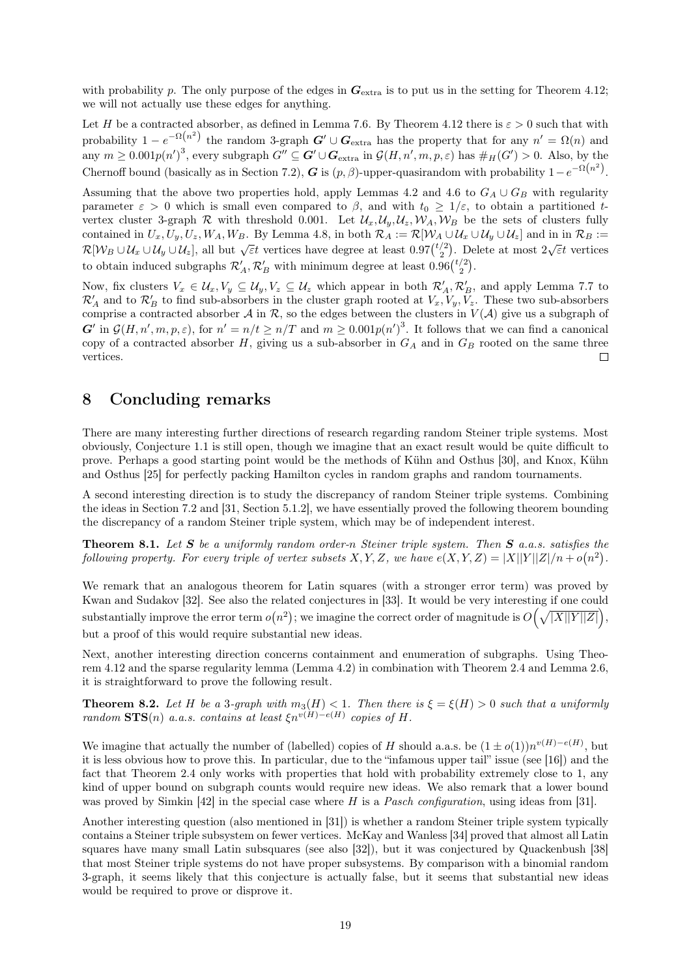with probability p. The only purpose of the edges in  $G_{\text{extra}}$  is to put us in the setting for [Theorem 4.12;](#page-10-1) we will not actually use these edges for anything.

Let H be a contracted absorber, as defined in [Lemma 7.6.](#page-17-1) By [Theorem 4.12](#page-10-1) there is  $\varepsilon > 0$  such that with probability  $1 - e^{-\Omega(n^2)}$  the random 3-graph  $G' \cup G_{\text{extra}}$  has the property that for any  $n' = \Omega(n)$  and any  $m \geq 0.001 p(n')^3$ , every subgraph  $G'' \subseteq G' \cup G_{\text{extra}}$  in  $\mathcal{G}(H, n', m, p, \varepsilon)$  has  $\#_H(G') > 0$ . Also, by the Chernoff bound (basically as in [Section 7.2\)](#page-14-1), G is  $(p, \beta)$ -upper-quasirandom with probability  $1-e^{-\Omega(n^2)}$ .

Assuming that the above two properties hold, apply [Lemmas 4.2](#page-7-1) and [4.6](#page-8-1) to  $G_A \cup G_B$  with regularity parameter  $\varepsilon > 0$  which is small even compared to  $\beta$ , and with  $t_0 \geq 1/\varepsilon$ , to obtain a partitioned tvertex cluster 3-graph R with threshold 0.001. Let  $\mathcal{U}_x, \mathcal{U}_y, \mathcal{U}_z, \mathcal{W}_A, \mathcal{W}_B$  be the sets of clusters fully contained in  $U_x, U_y, U_z, W_A, W_B$ . By [Lemma 4.8,](#page-9-0) in both  $\mathcal{R}_A := \mathcal{R}[\mathcal{W}_A \cup \mathcal{U}_x \cup \mathcal{U}_y \cup \mathcal{U}_z]$  and in in  $\mathcal{R}_B :=$  $\mathcal{R}[\mathcal{W}_B \cup \mathcal{U}_x \cup \mathcal{U}_y \cup \mathcal{U}_z]$ , all but  $\sqrt{\varepsilon t}$  vertices have degree at least  $0.97\binom{t/2}{2}$ . Delete at most  $2\sqrt{\varepsilon t}$  vertices to obtain induced subgraphs  $\mathcal{R}'_A$ ,  $\mathcal{R}'_B$  with minimum degree at least  $0.96\binom{t/2}{2}$ .

Now, fix clusters  $V_x \in \mathcal{U}_x, V_y \subseteq \mathcal{U}_y, V_z \subseteq \mathcal{U}_z$  which appear in both  $\mathcal{R}'_A, \mathcal{R}'_B$ , and apply [Lemma 7.7](#page-17-2) to  $\mathcal{R}'_A$  and to  $\mathcal{R}'_B$  to find sub-absorbers in the cluster graph rooted at  $V_x, V_y, V_z$ . These two sub-absorbers comprise a contracted absorber  $\mathcal A$  in  $\mathcal R$ , so the edges between the clusters in  $V(\mathcal A)$  give us a subgraph of  $G'$  in  $\mathcal{G}(H,n',m,p,\varepsilon)$ , for  $n' = n/t \geq n/T$  and  $m \geq 0.001p(n')^3$ . It follows that we can find a canonical copy of a contracted absorber  $H$ , giving us a sub-absorber in  $G_A$  and in  $G_B$  rooted on the same three vertices.  $\Box$ 

## <span id="page-18-0"></span>8 Concluding remarks

There are many interesting further directions of research regarding random Steiner triple systems. Most obviously, [Conjecture 1.1](#page-1-0) is still open, though we imagine that an exact result would be quite difficult to prove. Perhaps a good starting point would be the methods of Kühn and Osthus [\[30\]](#page-20-16), and Knox, Kühn and Osthus [\[25\]](#page-20-17) for perfectly packing Hamilton cycles in random graphs and random tournaments.

A second interesting direction is to study the discrepancy of random Steiner triple systems. Combining the ideas in [Section 7.2](#page-14-1) and [\[31,](#page-20-4) Section 5.1.2], we have essentially proved the following theorem bounding the discrepancy of a random Steiner triple system, which may be of independent interest.

**Theorem 8.1.** Let  $S$  be a uniformly random order-n Steiner triple system. Then  $S$  a.a.s. satisfies the following property. For every triple of vertex subsets X, Y, Z, we have  $e(X, Y, Z) = |X||Y||Z|/n + o(n^2)$ .

We remark that an analogous theorem for Latin squares (with a stronger error term) was proved by Kwan and Sudakov [\[32\]](#page-20-18). See also the related conjectures in [\[33\]](#page-20-19). It would be very interesting if one could substantially improve the error term  $o(n^2)$ ; we imagine the correct order of magnitude is  $O(\sqrt{|X||Y||Z|})$ , but a proof of this would require substantial new ideas.

Next, another interesting direction concerns containment and enumeration of subgraphs. Using [Theo](#page-10-1)[rem 4.12](#page-10-1) and the sparse regularity lemma [\(Lemma 4.2\)](#page-7-1) in combination with [Theorem 2.4](#page-3-1) and [Lemma 2.6,](#page-3-0) it is straightforward to prove the following result.

**Theorem 8.2.** Let H be a 3-graph with  $m_3(H) < 1$ . Then there is  $\xi = \xi(H) > 0$  such that a uniformly random  $\text{STS}(n)$  a.a.s. contains at least  $\xi n^{v(H)-e(H)}$  copies of H.

We imagine that actually the number of (labelled) copies of H should a.a.s. be  $(1 \pm o(1))n^{v(H)-e(H)}$ , but it is less obvious how to prove this. In particular, due to the "infamous upper tail" issue (see [\[16\]](#page-20-20)) and the fact that [Theorem 2.4](#page-3-1) only works with properties that hold with probability extremely close to 1, any kind of upper bound on subgraph counts would require new ideas. We also remark that a lower bound was proved by Simkin [\[42\]](#page-21-5) in the special case where H is a *Pasch configuration*, using ideas from [\[31\]](#page-20-4).

Another interesting question (also mentioned in [\[31\]](#page-20-4)) is whether a random Steiner triple system typically contains a Steiner triple subsystem on fewer vertices. McKay and Wanless [\[34\]](#page-20-21) proved that almost all Latin squares have many small Latin subsquares (see also [\[32\]](#page-20-18)), but it was conjectured by Quackenbush [\[38\]](#page-21-6) that most Steiner triple systems do not have proper subsystems. By comparison with a binomial random 3-graph, it seems likely that this conjecture is actually false, but it seems that substantial new ideas would be required to prove or disprove it.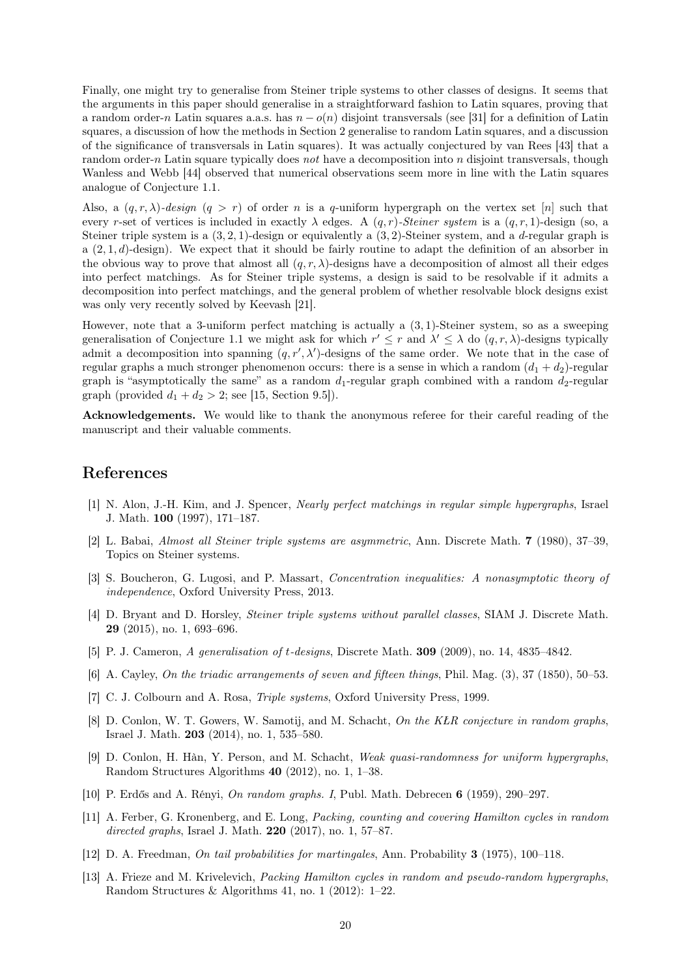Finally, one might try to generalise from Steiner triple systems to other classes of designs. It seems that the arguments in this paper should generalise in a straightforward fashion to Latin squares, proving that a random order-n Latin squares a.a.s. has  $n - o(n)$  disjoint transversals (see [\[31\]](#page-20-4) for a definition of Latin squares, a discussion of how the methods in [Section 2](#page-2-0) generalise to random Latin squares, and a discussion of the significance of transversals in Latin squares). It was actually conjectured by van Rees [\[43\]](#page-21-7) that a random order-n Latin square typically does not have a decomposition into n disjoint transversals, though Wanless and Webb [\[44\]](#page-21-8) observed that numerical observations seem more in line with the Latin squares analogue of [Conjecture 1.1.](#page-1-0)

Also, a  $(q, r, \lambda)$ -design  $(q > r)$  of order n is a q-uniform hypergraph on the vertex set [n] such that every r-set of vertices is included in exactly  $\lambda$  edges. A  $(q, r)$ -Steiner system is a  $(q, r, 1)$ -design (so, a Steiner triple system is a  $(3, 2, 1)$ -design or equivalently a  $(3, 2)$ -Steiner system, and a d-regular graph is a  $(2, 1, d)$ -design). We expect that it should be fairly routine to adapt the definition of an absorber in the obvious way to prove that almost all  $(q, r, \lambda)$ -designs have a decomposition of almost all their edges into perfect matchings. As for Steiner triple systems, a design is said to be resolvable if it admits a decomposition into perfect matchings, and the general problem of whether resolvable block designs exist was only very recently solved by Keevash [\[21\]](#page-20-22).

However, note that a 3-uniform perfect matching is actually a (3, 1)-Steiner system, so as a sweeping generalisation of [Conjecture 1.1](#page-1-0) we might ask for which  $r' \leq r$  and  $\lambda' \leq \lambda$  do  $(q, r, \lambda)$ -designs typically admit a decomposition into spanning  $(q, r', \lambda')$ -designs of the same order. We note that in the case of regular graphs a much stronger phenomenon occurs: there is a sense in which a random  $(d_1 + d_2)$ -regular graph is "asymptotically the same" as a random  $d_1$ -regular graph combined with a random  $d_2$ -regular graph (provided  $d_1 + d_2 > 2$ ; see [\[15,](#page-20-15) Section 9.5]).

Acknowledgements. We would like to thank the anonymous referee for their careful reading of the manuscript and their valuable comments.

### References

- <span id="page-19-2"></span>[1] N. Alon, J.-H. Kim, and J. Spencer, Nearly perfect matchings in regular simple hypergraphs, Israel J. Math. 100 (1997), 171–187.
- <span id="page-19-6"></span>[2] L. Babai, Almost all Steiner triple systems are asymmetric, Ann. Discrete Math. 7 (1980), 37–39, Topics on Steiner systems.
- [3] S. Boucheron, G. Lugosi, and P. Massart, Concentration inequalities: A nonasymptotic theory of independence, Oxford University Press, 2013.
- <span id="page-19-3"></span>[4] D. Bryant and D. Horsley, Steiner triple systems without parallel classes, SIAM J. Discrete Math. 29 (2015), no. 1, 693–696.
- <span id="page-19-5"></span>[5] P. J. Cameron, A generalisation of t-designs, Discrete Math. **309** (2009), no. 14, 4835–4842.
- <span id="page-19-0"></span>[6] A. Cayley, On the triadic arrangements of seven and fifteen things, Phil. Mag. (3), 37 (1850), 50–53.
- <span id="page-19-1"></span>[7] C. J. Colbourn and A. Rosa, *Triple systems*, Oxford University Press, 1999.
- <span id="page-19-9"></span>[8] D. Conlon, W. T. Gowers, W. Samotij, and M. Schacht, On the KLR conjecture in random graphs, Israel J. Math. 203 (2014), no. 1, 535–580.
- <span id="page-19-10"></span>[9] D. Conlon, H. Hàn, Y. Person, and M. Schacht, Weak quasi-randomness for uniform hypergraphs, Random Structures Algorithms 40 (2012), no. 1, 1–38.
- <span id="page-19-4"></span>[10] P. Erdős and A. Rényi, On random graphs. I, Publ. Math. Debrecen 6 (1959), 290–297.
- <span id="page-19-7"></span>[11] A. Ferber, G. Kronenberg, and E. Long, Packing, counting and covering Hamilton cycles in random directed graphs, Israel J. Math. 220 (2017), no. 1, 57–87.
- [12] D. A. Freedman, On tail probabilities for martingales, Ann. Probability 3 (1975), 100–118.
- <span id="page-19-8"></span>[13] A. Frieze and M. Krivelevich, Packing Hamilton cycles in random and pseudo-random hypergraphs, Random Structures & Algorithms 41, no. 1 (2012): 1–22.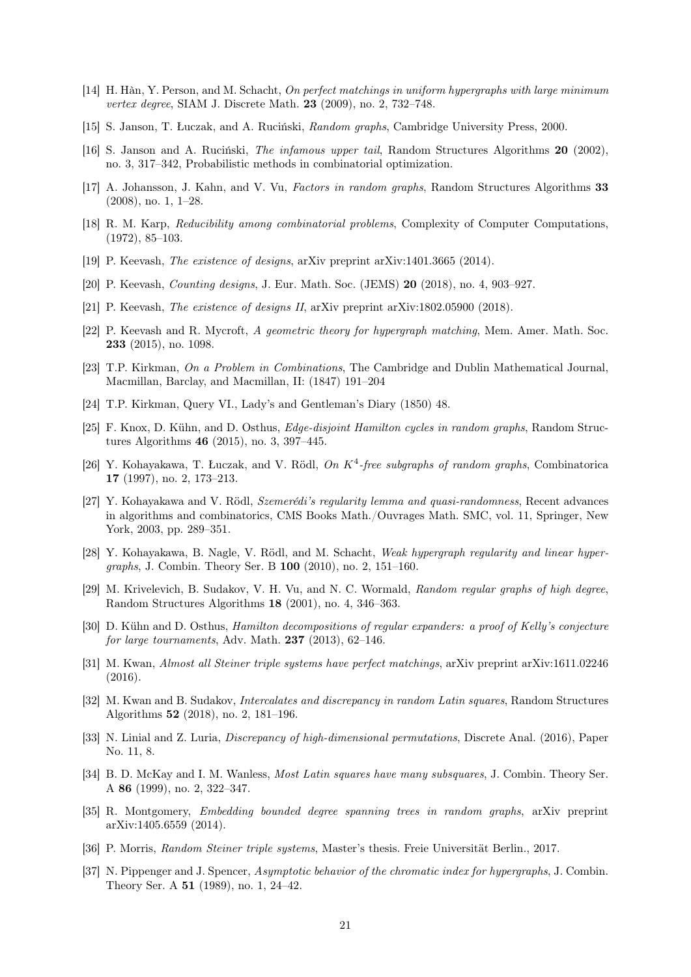- <span id="page-20-13"></span>[14] H. Hàn, Y. Person, and M. Schacht, On perfect matchings in uniform hypergraphs with large minimum vertex degree, SIAM J. Discrete Math. 23 (2009), no. 2, 732–748.
- <span id="page-20-15"></span>[15] S. Janson, T. Łuczak, and A. Ruciński, Random graphs, Cambridge University Press, 2000.
- <span id="page-20-20"></span>[16] S. Janson and A. Ruciński, The infamous upper tail, Random Structures Algorithms 20 (2002), no. 3, 317–342, Probabilistic methods in combinatorial optimization.
- <span id="page-20-8"></span>[17] A. Johansson, J. Kahn, and V. Vu, *Factors in random graphs*, Random Structures Algorithms 33 (2008), no. 1, 1–28.
- <span id="page-20-7"></span>[18] R. M. Karp, Reducibility among combinatorial problems, Complexity of Computer Computations, (1972), 85–103.
- <span id="page-20-3"></span>[19] P. Keevash, The existence of designs, arXiv preprint arXiv:1401.3665 (2014).
- <span id="page-20-9"></span>[20] P. Keevash, Counting designs, J. Eur. Math. Soc. (JEMS) 20 (2018), no. 4, 903–927.
- <span id="page-20-22"></span>[21] P. Keevash, The existence of designs II, arXiv preprint arXiv:1802.05900 (2018).
- [22] P. Keevash and R. Mycroft, A geometric theory for hypergraph matching, Mem. Amer. Math. Soc. 233 (2015), no. 1098.
- <span id="page-20-1"></span>[23] T.P. Kirkman, On a Problem in Combinations, The Cambridge and Dublin Mathematical Journal, Macmillan, Barclay, and Macmillan, II: (1847) 191–204
- <span id="page-20-0"></span>[24] T.P. Kirkman, Query VI., Lady's and Gentleman's Diary (1850) 48.
- <span id="page-20-17"></span>[25] F. Knox, D. Kühn, and D. Osthus, Edge-disjoint Hamilton cycles in random graphs, Random Structures Algorithms 46 (2015), no. 3, 397–445.
- <span id="page-20-12"></span>[26] Y. Kohayakawa, T. Łuczak, and V. Rödl, On  $K^4$ -free subgraphs of random graphs, Combinatorica 17 (1997), no. 2, 173–213.
- <span id="page-20-10"></span>[27] Y. Kohayakawa and V. Rödl, Szemerédi's regularity lemma and quasi-randomness, Recent advances in algorithms and combinatorics, CMS Books Math./Ouvrages Math. SMC, vol. 11, Springer, New York, 2003, pp. 289–351.
- <span id="page-20-11"></span>[28] Y. Kohayakawa, B. Nagle, V. Rödl, and M. Schacht, Weak hypergraph regularity and linear hypergraphs, J. Combin. Theory Ser. B 100 (2010), no. 2, 151–160.
- <span id="page-20-6"></span>[29] M. Krivelevich, B. Sudakov, V. H. Vu, and N. C. Wormald, Random regular graphs of high degree, Random Structures Algorithms 18 (2001), no. 4, 346–363.
- <span id="page-20-16"></span>[30] D. Kühn and D. Osthus, Hamilton decompositions of regular expanders: a proof of Kelly's conjecture for large tournaments, Adv. Math.  $237$  (2013), 62-146.
- <span id="page-20-4"></span>[31] M. Kwan, Almost all Steiner triple systems have perfect matchings, arXiv preprint arXiv:1611.02246 (2016).
- <span id="page-20-18"></span>[32] M. Kwan and B. Sudakov, Intercalates and discrepancy in random Latin squares, Random Structures Algorithms 52 (2018), no. 2, 181–196.
- <span id="page-20-19"></span>[33] N. Linial and Z. Luria, Discrepancy of high-dimensional permutations, Discrete Anal. (2016), Paper No. 11, 8.
- <span id="page-20-21"></span>[34] B. D. McKay and I. M. Wanless, Most Latin squares have many subsquares, J. Combin. Theory Ser. A 86 (1999), no. 2, 322–347.
- <span id="page-20-14"></span>[35] R. Montgomery, Embedding bounded degree spanning trees in random graphs, arXiv preprint arXiv:1405.6559 (2014).
- <span id="page-20-5"></span>[36] P. Morris, Random Steiner triple systems, Master's thesis. Freie Universität Berlin., 2017.
- <span id="page-20-2"></span>[37] N. Pippenger and J. Spencer, Asymptotic behavior of the chromatic index for hypergraphs, J. Combin. Theory Ser. A 51 (1989), no. 1, 24–42.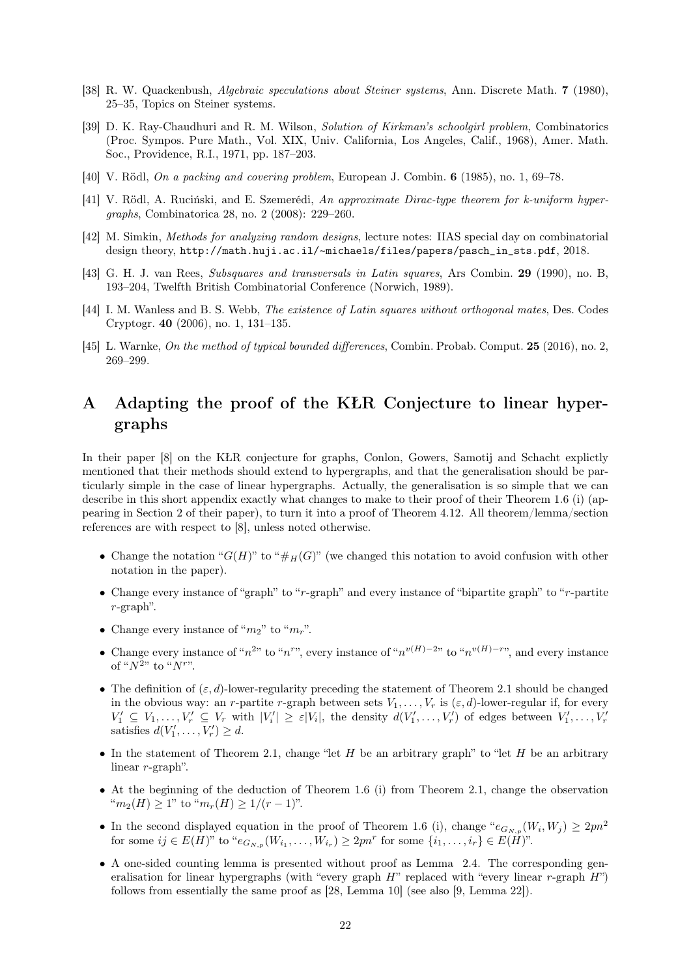- <span id="page-21-6"></span>[38] R. W. Quackenbush, Algebraic speculations about Steiner systems, Ann. Discrete Math. 7 (1980), 25–35, Topics on Steiner systems.
- <span id="page-21-0"></span>[39] D. K. Ray-Chaudhuri and R. M. Wilson, Solution of Kirkman's schoolgirl problem, Combinatorics (Proc. Sympos. Pure Math., Vol. XIX, Univ. California, Los Angeles, Calif., 1968), Amer. Math. Soc., Providence, R.I., 1971, pp. 187–203.
- <span id="page-21-1"></span>[40] V. Rödl, On a packing and covering problem, European J. Combin. 6 (1985), no. 1, 69–78.
- <span id="page-21-4"></span>[41] V. Rödl, A. Ruciński, and E. Szemerédi, An approximate Dirac-type theorem for k-uniform hypergraphs, Combinatorica 28, no. 2 (2008): 229–260.
- <span id="page-21-5"></span>[42] M. Simkin, Methods for analyzing random designs, lecture notes: IIAS special day on combinatorial design theory, http://math.huji.ac.il/~[michaels/files/papers/pasch\\_in\\_sts.pdf](http://math.huji.ac.il/~michaels/files/papers/pasch_in_sts.pdf). 2018.
- <span id="page-21-7"></span>[43] G. H. J. van Rees, Subsquares and transversals in Latin squares, Ars Combin. 29 (1990), no. B, 193–204, Twelfth British Combinatorial Conference (Norwich, 1989).
- <span id="page-21-8"></span>[44] I. M. Wanless and B. S. Webb, The existence of Latin squares without orthogonal mates, Des. Codes Cryptogr. 40 (2006), no. 1, 131–135.
- <span id="page-21-3"></span>[45] L. Warnke, On the method of typical bounded differences, Combin. Probab. Comput. 25 (2016), no. 2, 269–299.

# <span id="page-21-2"></span>A Adapting the proof of the KŁR Conjecture to linear hypergraphs

In their paper [\[8\]](#page-19-9) on the KŁR conjecture for graphs, Conlon, Gowers, Samotij and Schacht explictly mentioned that their methods should extend to hypergraphs, and that the generalisation should be particularly simple in the case of linear hypergraphs. Actually, the generalisation is so simple that we can describe in this short appendix exactly what changes to make to their proof of their Theorem 1.6 (i) (appearing in Section 2 of their paper), to turn it into a proof of [Theorem 4.12.](#page-10-1) All theorem/lemma/section references are with respect to [\[8\]](#page-19-9), unless noted otherwise.

- Change the notation " $G(H)$ " to " $\#_H(G)$ " (we changed this notation to avoid confusion with other notation in the paper).
- Change every instance of "graph" to "r-graph" and every instance of "bipartite graph" to "r-partite r-graph".
- Change every instance of " $m_2$ " to " $m_r$ ".
- Change every instance of " $n^{2}$ " to " $n^{r}$ ", every instance of " $n^{v(H)-2}$ " to " $n^{v(H)-r}$ ", and every instance of " $N^{2}$ " to " $N^{r}$ ".
- The definition of  $(\varepsilon, d)$ -lower-regularity preceding the statement of Theorem 2.1 should be changed in the obvious way: an r-partite r-graph between sets  $V_1, \ldots, V_r$  is  $(\varepsilon, d)$ -lower-regular if, for every  $V'_1 \subseteq V_1, \ldots, V'_r \subseteq V_r$  with  $|V'_i| \geq \varepsilon |V_i|$ , the density  $d(V'_1, \ldots, V'_r)$  of edges between  $V'_1, \ldots, V'_r$ satisfies  $d(V'_1, \ldots, V'_r) \geq d$ .
- In the statement of Theorem 2.1, change "let  $H$  be an arbitrary graph" to "let  $H$  be an arbitrary linear r-graph".
- At the beginning of the deduction of Theorem 1.6 (i) from Theorem 2.1, change the observation " $m_2(H) \geq 1$ " to " $m_r(H) \geq 1/(r-1)$ ".
- In the second displayed equation in the proof of Theorem 1.6 (i), change " $e_{G_{N,p}}(W_i, W_j) \geq 2pn^2$ for some  $ij \in E(H)$ " to " $e_{G_{N,p}}(W_{i_1}, \ldots, W_{i_r}) \ge 2pn^r$  for some  $\{i_1, \ldots, i_r\} \in E(H)$ ".
- A one-sided counting lemma is presented without proof as Lemma 2.4. The corresponding generalisation for linear hypergraphs (with "every graph  $H$ " replaced with "every linear r-graph  $H$ ") follows from essentially the same proof as [\[28,](#page-20-11) Lemma 10] (see also [\[9,](#page-19-10) Lemma 22]).